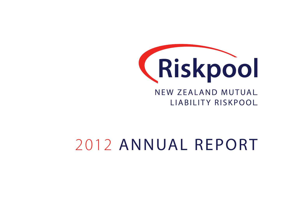

# NEW ZEALAND MUTUAL LIABILITY RISKPOOL

# 2012 ANNUAL REPORT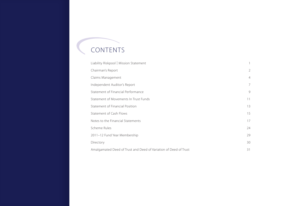# CONTENTS

| Liability Riskpool   Mission Statement                           |                |
|------------------------------------------------------------------|----------------|
| Chairman's Report                                                | 2              |
| Claims Management                                                | $\overline{4}$ |
| Independent Auditor's Report                                     | 7              |
| Statement of Financial Performance                               | 9              |
| Statement of Movements In Trust Funds                            | 11             |
| Statement of Financial Position                                  | 13             |
| Statement of Cash Flows                                          | 15             |
| Notes to the Financial Statements                                | 17             |
| Scheme Rules                                                     | 24             |
| 2011-12 Fund Year Membership                                     | 29             |
| Directory                                                        | 30             |
| Amalgamated Deed of Trust and Deed of Variation of Deed of Trust | 31             |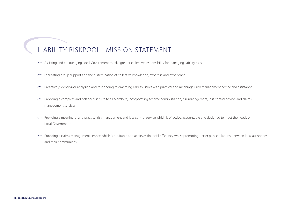# Liability Riskpool | Mission Statement

- Assisting and encouraging Local Government to take greater collective responsibility for managing liability risks.
- Facilitating group support and the dissemination of collective knowledge, expertise and experience.
- $\subset$  Proactively identifying, analysing and responding to emerging liability issues with practical and meaningful risk management advice and assistance.
- Providing a complete and balanced service to all Members, incorporating scheme administration, risk management, loss control advice, and claims management services.
- Providing a meaningful and practical risk management and loss control service which is effective, accountable and designed to meet the needs of Local Government.
- $\cap$  Providing a claims management service which is equitable and achieves financial efficiency whilst promoting better public relations between local authorities and their communities.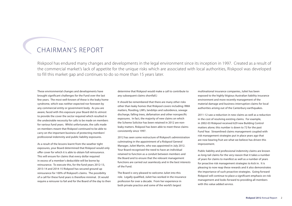# chairman's report

Riskpool has endured many changes and developments in the legal environment since its inception in 1997. Created as a result of the commercial market's lack of appetite for the unique risks which are associated with local authorities, Riskpool was developed to fill this market gap and continues to do so more than 15 years later.

These environmental changes and developments have brought significant challenges for the Fund over the last few years. The most well-known of these is the leaky home syndrome, which was neither expected nor foreseen by any commercial entity or government body. As you are aware, faced with this exposure your Board did its utmost to provide the cover the sector required which resulted in the undesirable necessity for calls to be made on members for various fund years. Whilst unfortunate, the calls made on members meant that Riskpool continued to be able to carry on the important business of protecting members' professional indemnity and public liability exposures.

As a result of the lessons learnt from the weather tight exposures, your Board determined that Riskpool would only offer cover for which it is able to obtain full reinsurance. This will ensure for claims that every dollar required in excess of a member's deductible will be borne by reinsurance. To execute this, for the fund years 2012-13, 2013-14 and 2014-15 Riskpool has secured ground up reinsurance for 100% of Riskpool's claims. The possibility of a call for these fund years is therefore minimal. (It would require a reinsurer to fail and for the Board of the day to then determine that Riskpool would make a call to contribute to any subsequent claims shortfall.)

It should be remembered that there are many other risks other than leaky homes that Riskpool covers including: RMA matters, flooding, LIM's, landslips and subsidence, sewage discharge, falling trees, defamation and other nonspecific exposures. In fact, the majority of new claims on which the Scheme Solicitor has been retained in 2012 are nonleaky matters. Riskpool has been able to meet these claims consistently since 1997.

2012 has seen some restructure of Riskpool's administration culminating in the appointment of a Riskpool General Manager, Juliet Martin, who was appointed in July 2012. Your Board recognised the need to have an individual retained to function as a conduit between members and the Board and to ensure that the relevant management functions are carried out seamlessly and in the best interests of the Fund.

The Board is very pleased to welcome Juliet into this role. Legally qualified, Juliet has worked in the insurance profession for over a decade. From her experience in both private practice and some of the world's largest

multinational insurance companies, Juliet has been exposed to the highly litigious Australian liability insurance environment and more recently management of the material damage and business interruption claims for local authorities arising out of the Canterbury earthquakes.

2011-12 saw a reduction in new claims as well as a reduction in the cost of resolving existing claims. For example, in 2002-03 Riskpool received 629 new Building Control matters alone; this number is down to 72 for the past Fund Year. Streamlined claims management coupled with risk management strategies put in place years ago that are now bearing fruit are what we believe has driven this improvement.

Public liability and professional indemnity claims are known as long-tail claims for the very reason that it takes a number of years for claims to manifest as well as a number of years for proactive risk management strategies to kick in. It is pleasing to now reap these rewards and it also demonstrates the importance of such proactive strategies. Going forward Riskpool will continue to place a significant emphasis on risk management and looks forward to providing all members with this value added service.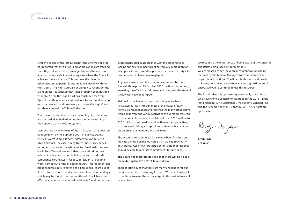Over the course of the last 12 months the Scheme Solicitor has reported that Mediations and adjudications are tracking smoothly, but where there are adjudications there is now a pattern of Appeals. In most every case where the Council achieves some success at Tribunal level the plaintiffs or other disgruntled parties lodge an appeal usually with the High Court. The High Court is not obliged to reconsider the claim unless it is satisfied that it has probably been decided wrongly. So far, the High Court has concluded for every Appeal that there is sufficient evidence to warrant it looking into the case and in almost every such case the High Court has then adjusted the Tribunal's decision.

The concern is that the costs are becoming high if matters are not settled at Mediation because almost everything is then ending up in the Court system.

Members are by now aware of the 11 October 2012 decision handed down by the Supreme Court in *Body Corporate 207624 v North Shore City Local Authority [2012] NZSC 83 (Byron Avenue)*. The case, run by North Shore City Council, has repercussions for the whole sector. Previously the case law in New Zealand was such that local authorities owed a duty of care when issuing building consents and code compliance certificates in respect of residential building works carried out under the Building Act. This judgment has broadened this duty to extend to all buildings regardless of its use. Furthermore, the decision is not limited to buildings which may be found to subsequently leak. It will have the effect that where a commercial building is found not to have been constructed in accordance with the Building Code, lacking sprinklers or insufficient earthquake mitigation for example, a Council could be pursued for breach of duty if it can be shown to have been negligent.

As you are aware from the communication sent by the General Manager on 23 October 2012 the Board is presently assessing the effect this judgment and change in the state of the law will have on Riskpool.

Riskpool has achieved a great deal this year, we have navigated our way through most of the legacy of leaky homes claims, managed and resolved the many other claims which arise from the various activities of our members, seen a reduction in Riskpool's overall deficit from \$21.1 million to \$10.8 million, continued to work with members proactively so as to avoid claims, and appointed a General Manager to better assist the members and the Board.

The accounts to 30 June 2012 have now been finalised and indicate a more positive outcome than we had previously anticipated. Cash flow forecasts demonstrate that Riskpool should be able to meet its commitments to June 2014.

# **The Board has therefore decided that there will be no call made during the 2013-2014 financial year.**

There is little doubt that there are many challenges for our members and the Fund going forward. We expect Riskpool to continue to meet these challenges in the best interests of its members.

We recognise the importance of being aware of the concerns and issues being faced by our members. We are pleased to see the regular communications being received by the General Manager from our members and hope this will continue. The Board both wants and needs to know your concerns and to hear your suggestions and I encourage you to continue to use this resource.

The Board takes this opportunity to formally thank those who have worked so hard for Riskpool during 2011-12: the Fund Manager (Civic Assurance), the Scheme Manager (JLT) and the Scheme Solicitor (Heaney & Co). Their efforts are appreciated.

By daylor

Bryan Taylor Chairman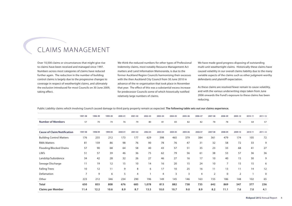# Claims Management

Over 10,500 claims or circumstances that might give rise to claims have been received and managed since 1997. Numbers across most categories of claims have reduced further again. The reduction in the number of building control claims is largely due to the progressive changes to coverage in respect of weathertight claims, and ultimately the exclusion introduced for most Councils on 30 June 2009, taking effect.

We think the reduced numbers for other types of Professional Indemnity claims, most notably Resource Management Act matters and Land Information Memoranda, is due to the former Auckland Region Councils harmonising their excesses with the then Auckland City Council from 30 June 2010 in advance of the re-organisation that took place in November that year. The effect of this was a substantial excess increase for predecessor Councils some of which historically notified relatively large numbers of claims.

We have made good progress disposing of outstanding multi-unit weathertight claims. Historically these claims have caused volatility in our overall claims liability due to the many variable aspects of the claims such as other judgment-worthy defendants and plaintiff expectation.

As these claims are resolved fewer remain to cause volatility, and with the various underwriting steps taken from June 2006 onwards the Fund's exposure to these claims has been reducing.

Public Liability claims which involving Council caused damage to third party property remain as expected. **The following table sets out our claims experience.**

|                                    | 1997-98        | 1998-99 | 1999-00 | $2000 - 01$ | $2001 - 02$    | $2002 - 03$ | $2003 - 04$ | 2004-05 | 2005-06 | 2006-07 | $2007 - 08$    | 2008-09        | 2009-10        | 2010-11      | $2011 - 12$ |
|------------------------------------|----------------|---------|---------|-------------|----------------|-------------|-------------|---------|---------|---------|----------------|----------------|----------------|--------------|-------------|
| <b>Number of Members</b>           | 57             | 70      | 74      | 76          | 79             | 80          | 81          | 83      | 82      | 82      | 78             | 78             | 72             | 64           | 57          |
| <b>Cause of Claim/Notification</b> | 1997-98        | 1998-99 | 1999-00 | 2000-01     | 2001-02        | 2002-03     | 2003-04     | 2004-05 | 2005-06 | 2006-07 | 2007-08        | 2008-09        | 2009-10        | 2010-11      | $2011 - 12$ |
| <b>Building Control Matters</b>    | 176            | 255     | 212     | 173         | 177            | 629         | 398         | 465     | 379     | 384     | 361            | 479            | 174            | 105          | 72          |
| <b>RMA Matters</b>                 | 81             | 159     | 86      | 98          | 76             | 90          | 78          | 76      | 47      | 31      | 32             | 58             | 72             | 33           | 9           |
| Flooding/Blocked Drains            | 57             | 90      | 68      | 64          | 58             | 40          | 43          | 57      | 51      | 35      | 23             | 33             | 68             | 41           | 27          |
| LIM's                              | 51             | 57      | 39      | 46          | 36             | 75          | 62          | 79      | 56      | 61      | 38             | 53             | 57             | 36           | 36          |
| Landslip/Subsidence                | 34             | 42      | 28      | 32          | 26             | 27          | 46          | 27      | 16      | 17      | 10             | 40             | 15             | 30           | 9           |
| Sewage Discharge                   | 11             | 19      | 12      | 15          | 10             | 14          | 16          | 20      | 15      | 24      | 10             | $\overline{7}$ | 15             | 15           | 6           |
| <b>Falling Trees</b>               | 10             | 12      | 11      | 9           | 8              | 6           | 17          | 10      | 25      | 16      | 11             | 13             | 11             | 14           | 12          |
| Defamation                         | $\overline{7}$ | 9       | 6       | 5           | $\overline{4}$ |             | 4           | 3       | 3       | 4       | $\overline{2}$ | $\mathbf 0$    | $\overline{2}$ | $\mathbf{1}$ | $\mathbf 0$ |
| Other                              | 223            | 212     | 346     | 234         | 290            | 196         | 149         | 145     | 146     | 163     | 155            | 186            | 148            | 102          | 65          |
| <b>Total</b>                       | 650            | 855     | 808     | 676         | 685            | 1,078       | 813         | 882     | 738     | 735     | 642            | 869            | 547            | 377          | 236         |
| <b>Claims per Member</b>           | 11.4           | 12.2    | 10.6    | 8.9         | 8.7            | 13.5        | 10.0        | 10.7    | 9.0     | 8.9     | 8.2            | 11.1           | 7.6            | 7.0          | 4.1         |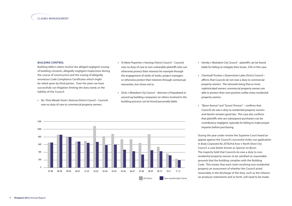#### **BUILDING CONTROL**

Building defect claims involve the alleged negligent issuing of building consents, allegedly negligent inspections during the course of construction and the issuing of allegedly erroneous Code Compliance Certificates which might be relied upon by third parties. Over the years we have successfully run litigation limiting the duty owed, or the liability of the Council:

- **•** *No. Three Meade Street v Rotorua District Council* Councils owe no duty of care to commercial property owners.
- **•** *Te Mata Properties v Hastings District Council*  Councils owe no duty of care to non-vulnerable plaintiffs who can otherwise protect their interests for example through the engagement of clerks of works, project managers or otherwise protect their interests through contractual warranties, but chose not to.
- **•** *Dicks v Waitakere City Council* directors of liquidated or wound up building companies (or others involved in the building process) can be found personally liable.



- **•** *Hartley v Waitakere City Council* plaintiffs can be found liable for failing to mitigate their losses, 33% in this case.
- **•** *Charterall Trustees v Queenstown Lakes District Council*  affirms that Councils do not owe a duty to commercial property owners. The rationale being that as more sophisticated owners commercial property owners are able to protect their own position unlike many residential property owners.
- **•** *"Byron Avenue" and "Sunset Terraces"*  confirms that Councils do owe a duty to residential property owners and *Hamlin* remains good law. This case also confirms that plaintiffs who are subsequent purchasers can be contributory negligent, typically for failing to make proper inquiries before purchasing.

During the year under review the Supreme Court heard an appeal against the Council's successful strike-out application in *Body Corporate No 207624 & Anor v North Shore City Council*, a case better known as *Spencer on Byron*. The majority held that Councils do owe a duty to nonresidential property owners to be satisfied on reasonable grounds that the building complies with the Building Code. This means that each claim involving non-residential property an assessment of whether the Council acted reasonably in the discharge of the duty, such as the reliance on producer statements and so forth, will need to be made.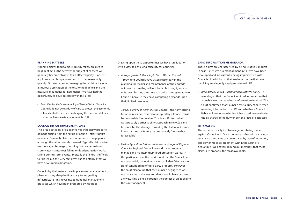#### **Planning Matters**

Planning claims tend to more quickly follow an alleged negligent act as the activity the subject of consent will generally become obvious to an affected party. Consent applicants that bring claims tend to do so reasonably quickly. Our strategies for managing these claims include a rigorous application of the test for negligence and the measure of damages for negligence. We have had the opportunity to develop case law in this area:

**•** *Bella Visa Limited v Western Bay of Plenty District Council* – Councils do not owe a duty of care to protect the economic interests of others when discharging their responsibilities under the Resource Management Act 1991.

#### **Council Infrastructure Failure**

This broad category of claim involves third party property damage arising from the failure of Council infrastructure or assets. Generally claims are in nuisance or negligence, although the latter is rarely pursued. Typically claims arise from sewage discharges, flooding from water mains or stormwater mains, trees falling or flood protection works failing during storm events. Typically the failure is difficult to foresee but this very fact gives rise to defences that we have developed in litigation.

Councils by their nature have in place asset management plans and they also plan financially for upgrading infrastructure. This gives rise to good risk management practices which have been promoted by Riskpool.

Drawing upon these opportunities we have run litigation with a view to achieving certainty for Councils:

- **•** *Atlas properties & Ors v Kapiti Coast District Council*  – providing Councils have acted reasonably in the planning for repairs and maintenance or the upgrade of infrastructure they will not be liable in negligence or nuisance. Further, the court had quite some sympathy for Councils because they have competing demands upon their limited resources.
- **•** *Tindall & Ors v Far North District Council*  the harm arising from the nuisance created or adopted by a Council must be reasonably foreseeable. This is a shift from what was probably a strict liability approach in New Zealand historically. The damage caused by the failure of Council infrastructure, by its very nature, is rarely "reasonably foreseeable".
- **•** *Easton Agriculture & Anor v Manawatu Wanganui Regional Council* – Regional Council owe a duty to properly manage and maintain their flood protection works. In this particular case, the court found that the Council had not reasonably maintained a stopbank that failed causing significant flooding of third party property. However, the court also found that the Council's negligence was not causative of the loss and that it would have occurred anyway. This claim is currently the subject of an appeal to the Court of Appeal.

#### **Land Information Memoranda**

These claims are characterised by being relatively modest in cost. Extensive risk management initiatives have been developed and are currently being implemented with Councils. In addition to that, we have run the first case involving an allegedly negligently issued LIM.

**•** *Altimarlock Limited v Marlborough District Council* – it was alleged that the Council omitted information (that arguably was not mandatory information) in a LIM. The Court confirmed that Council's owe a duty of care when releasing information in a LIM and whether a Council is liable will turn upon whether it has acted reasonably in the discharge of the duty unpon the facts of each case.

#### **Defamation**

These claims usually involve allegations being made against Councillors. Our experience is that with early legal assistance the claims can be resolved by way of retraction, apology or modest settlement within the Council's deductible. We actively remind our members that these claims are probably the most avoidable.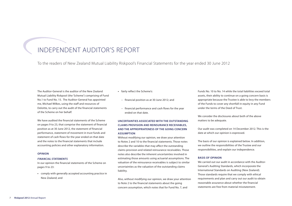# INDEPENDENT AUDITOR'S REPORT

To the readers of New Zealand Mutual Liability Riskpool's Financial Statements for the year ended 30 June 2012

The Auditor-General is the auditor of the New Zealand Mutual Liability Riskpool (the 'Scheme') comprising of Fund No.1 to Fund No. 15. The Auditor-General has appointed me, Michael Wilkes, using the staff and resources of Deloitte, to carry out the audit of the financial statements of the Scheme on her behalf.

We have audited the financial statements of the Scheme on pages 9 to 23, that comprise the statement of financial position as at 30 June 2012, the statement of financial performance, statement of movement in trust funds and statement of cash flows for the year ended on that date and the notes to the financial statements that include accounting policies and other explanatory information.

#### **Opinion**

#### *financial statements*

In our opinion the financial statements of the Scheme on pages 9 to 23:

**•** comply with generally accepted accounting practice in New Zealand; and

- **•** fairly reflect the Scheme's:
- financial position as at 30 June 2012; and
- financial performance and cash flows for the year ended on that date.

# **Uncertainties associated with the outstanding claims provision and reinsurance receivables, and the appropriateness of the going concern assumption**

Without modifying our opinion, we draw your attention to Notes 2 and 10 to the financial statements. Those notes describe the variables that may affect the outstanding claims provision and related reinsurance receivables. Those notes also describe the inherent uncertainties involved in estimating those amounts using actuarial assumptions. The valuation of the reinsurance receivables is subject to similar uncertainties as the valuation of the outstanding claims liability.

Also, without modifying our opinion, we draw your attention to Note 2 to the financial statements about the going concern assumption, which notes that for Fund No. 7, and

Funds No. 10 to No. 14 while the total liabilities exceed total assets, their ability to continue on a going concern basis is appropriate because the Trustee is able to levy the members of the Funds to cover any shortfall in equity in any Fund under the terms of the Deed of Trust.

We consider the disclosures about both of the above matters to be adequate.

Our audit was completed on 14 December 2012. This is the date at which our opinion is expressed.

The basis of our opinion is explained below. In addition, we outline the responsibilities of the Trustee and our responsibilities, and explain our independence.

#### **Basis of opinion**

We carried out our audit in accordance with the Auditor-General's Auditing Standards, which incorporate the International Standards on Auditing (New Zealand). Those standards require that we comply with ethical requirements and plan and carry out our audit to obtain reasonable assurance about whether the financial statements are free from material misstatement.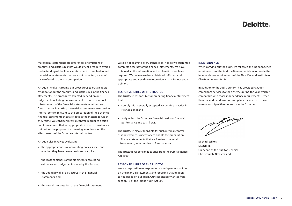# **Deloitte**

Material misstatements are differences or omissions of amounts and disclosures that would affect a reader's overall understanding of the financial statements. If we had found material misstatements that were not corrected, we would have referred to them in our opinion.

An audit involves carrying out procedures to obtain audit evidence about the amounts and disclosures in the financial statements. The procedures selected depend on our judgement, including our assessment of risks of material misstatement of the financial statements whether due to fraud or error. In making those risk assessments, we consider internal control relevant to the preparation of the Scheme's financial statements that fairly reflect the matters to which they relate. We consider internal control in order to design audit procedures that are appropriate in the circumstances but not for the purpose of expressing an opinion on the effectiveness of the Scheme's internal control.

An audit also involves evaluating:

- **•** the appropriateness of accounting policies used and whether they have been consistently applied;
- **•** the reasonableness of the significant accounting estimates and judgements made by the Trustee;
- **•** the adequacy of all disclosures in the financial statements; and
- **•** the overall presentation of the financial statements.

We did not examine every transaction, nor do we guarantee complete accuracy of the financial statements. We have obtained all the information and explanations we have required. We believe we have obtained sufficient and appropriate audit evidence to provide a basis for our audit opinion.

#### **Responsibilities of the Trustee**

The Trustee is responsible for preparing financial statements that:

- **•** comply with generally accepted accounting practice in New Zealand; and
- **•** fairly reflect the Scheme's financial position, financial performance and cash flows.

The Trustee is also responsible for such internal control as it determines is necessary to enable the preparation of financial statements that are free from material misstatement, whether due to fraud or error.

The Trustee's responsibilities arise from the Public Finance Act 1989.

#### **Responsibilities of the Auditor**

We are responsible for expressing an independent opinion on the financial statements and reporting that opinion to you based on our audit. Our responsibility arises from section 15 of the Public Audit Act 2001.

#### **Independence**

When carrying out the audit, we followed the independence requirements of the Auditor-General, which incorporate the independence requirements of the New Zealand Institute of Chartered Accountants.

In addition to the audit, our firm has provided taxation compliance services to the Scheme during the year which is compatible with those independence requirements. Other than the audit and taxation compliance services, we have no relationship with or interests in the Scheme.



**Michael Wilkes DELOITTE** On behalf of the Auditor-General Christchurch, New Zealand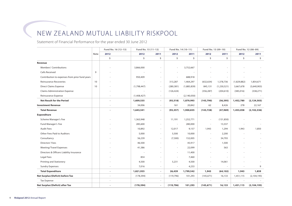# New Zealand Mutual Liability Riskpool

Statement of Financial Performance for the year ended 30 June 2012

|                                                |             | Fund No. 16 (12-13) | Fund No. 15 (11-12) |                          |                          | Fund No. 14 (10-11)      |                          | Fund No. 13 (09-10) |             | Fund No. 12 (08-09) |
|------------------------------------------------|-------------|---------------------|---------------------|--------------------------|--------------------------|--------------------------|--------------------------|---------------------|-------------|---------------------|
|                                                | <b>Note</b> | 2012                | 2012                | 2011                     | 2012                     | 2011                     | 2012                     | 2011                | 2012        | 2011                |
|                                                |             | \$                  | \$                  | \$                       | \$                       | \$                       | \$                       | \$                  | \$          | \$                  |
| Revenue                                        |             |                     |                     |                          |                          |                          |                          |                     |             |                     |
| <b>Members' Contributions</b>                  |             |                     | 3,866,000           |                          |                          | 3,752,667                |                          |                     |             |                     |
| <b>Calls Received</b>                          | 9           |                     |                     |                          |                          |                          |                          |                     |             |                     |
| Contribution to expenses from prior fund years |             |                     | 950,409             |                          | $\overline{\phantom{a}}$ | 688,918                  |                          |                     |             |                     |
| <b>Reinsurance Recoveries</b>                  | 10          |                     |                     | $\sim$                   | 313,287                  | 1,464,297                | (632, 634)               | 1,378,736           | (1,829,882) | 1,854,671           |
| <b>Direct Claims Expense</b>                   | 10          |                     | (1,798,447)         | $\sim$                   | (280, 381)               | (1,885,839)              | 845,131                  | (1, 230, 521)       | 3,667,678   | (3,640,903)         |
| <b>Claims Administration Expense</b>           |             |                     |                     | $\overline{\phantom{a}}$ | (126, 424)               | $\overline{\phantom{a}}$ | (356, 287)               | (204, 610)          | (385,016)   | (338, 271)          |
| Reinsurance Expense                            |             |                     | (1,408,427)         | $\sim$                   | $\overline{\phantom{a}}$ | (2, 140, 050)            | $\overline{\phantom{a}}$ | $\sim$              |             |                     |
| <b>Net Result for the Period</b>               |             |                     | 1,609,535           | $\blacksquare$           | (93, 518)                | 1,879,993                | (143, 790)               | (56, 395)           | 1,452,780   | (2, 124, 503)       |
| <b>Investment Revenue</b>                      |             |                     | 34,006              |                          | 161                      | 20,842                   | 62                       | 8,426               | 278         | 22,167              |
| <b>Total Revenue</b>                           |             |                     | 1,643,541           | $\overline{\phantom{a}}$ | (93, 357)                | 1,900,835                | (143, 728)               | (47, 969)           | 1,453,058   | (2, 102, 336)       |
| <b>Expenditure</b>                             |             |                     |                     |                          |                          |                          |                          |                     |             |                     |
| Scheme Manager's Fee                           |             |                     | 1,363,948           |                          | 11,191                   | 1,252,771                | $\overline{\phantom{a}}$ | (131, 850)          |             |                     |
| Fund Manager's Fee                             |             |                     | 285,600             | $\overline{\phantom{a}}$ | $\overline{\phantom{a}}$ | 280,000                  | $\overline{\phantom{a}}$ | 13,337              |             |                     |
| <b>Audit Fees</b>                              |             |                     | 10,892              | $\overline{\phantom{a}}$ | 12,017                   | 9,157                    | 1,943                    | 1,294               | 1,943       | 1,850               |
| Other Fees Paid to Auditors                    |             |                     | 5,000               | $\sim$                   | 5,500                    | 10,000                   | $\overline{\phantom{a}}$ | 2,200               |             |                     |
| Consultancy                                    |             |                     | 56,239              |                          | (7,500)                  | 152,005                  | $\overline{\phantom{a}}$ | 34,793              |             |                     |
| Directors' Fees                                |             |                     | 46,500              |                          | $\overline{\phantom{a}}$ | 45,917                   |                          | 1,500               |             |                     |
| <b>Meeting/Travel Expenses</b>                 |             |                     | 41,386              | $\sim$                   | $\overline{\phantom{a}}$ | 22,099                   | $\overline{\phantom{a}}$ | 563                 |             |                     |
| Directors & Officers Liability Insurance       |             |                     |                     |                          | $\overline{\phantom{a}}$ | 11,400                   |                          | $\sim$              |             |                     |
| Legal Fees                                     |             |                     | 854                 |                          | ٠                        | 7,460                    |                          |                     |             |                     |
| Printing and Stationery                        |             |                     | 4,500               | $\overline{\phantom{a}}$ | 5,231                    | 4,500                    | $\overline{\phantom{a}}$ | 14,061              |             |                     |
| <b>Sundry Expenses</b>                         |             |                     | 7,016               | $\sim$                   | $\overline{\phantom{a}}$ | 4,233                    | $\overline{\phantom{a}}$ | $\sim$              |             | 9                   |
| <b>Total Expenditure</b>                       |             | $\blacksquare$      | 1,821,935           | $\blacksquare$           | 26,439                   | 1,799,542                | 1,943                    | (64, 102)           | 1,943       | 1,859               |
| Net Surplus/(Deficit) before Tax               |             | $\sim$              | (178, 394)          | $\sim$                   | (119, 796)               | 101,293                  | (145, 671)               | 16,133              | 1,451,115   | (2,104,195)         |
| <b>Tax Expense</b>                             |             | $\sim$              |                     | $\sim$                   | $\overline{\phantom{a}}$ |                          | $\overline{\phantom{a}}$ |                     |             |                     |
| Net Surplus/(Deficit) after Tax                |             | $\blacksquare$      | (178, 394)          | $\blacksquare$           | (119, 796)               | 101,293                  | (145, 671)               | 16,133              | 1,451,115   | (2, 104, 195)       |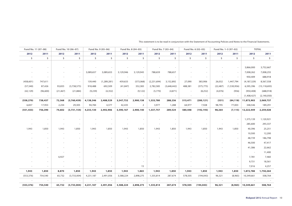| Fund No. 11 (07-08)      |          |            | Fund No. 10 (06-07)      |           | Fund No. 9 (05-06) |                          | Fund No. 8 (04-05) |                         | Fund No. 7 (03-04)       |                          | Fund No. 6 (02-03)       |           | Fund No. 1-5 (97-02)     |                         | <b>TOTAL</b>   |
|--------------------------|----------|------------|--------------------------|-----------|--------------------|--------------------------|--------------------|-------------------------|--------------------------|--------------------------|--------------------------|-----------|--------------------------|-------------------------|----------------|
| 2012                     | 2011     | 2012       | 2011                     | 2012      | 2011               | 2012                     | 2011               | 2012                    | 2011                     | 2012                     | 2011                     | 2012      | 2011                     | 2012                    | 2011           |
| \$                       | \$       | $\ddot{s}$ | \$                       | \$        | \$                 | \$                       | \$                 | \$                      | \$                       | \$                       | \$                       | \$        | \$                       | \$                      | \$             |
|                          |          |            |                          |           |                    |                          |                    |                         |                          |                          |                          |           |                          |                         |                |
|                          |          |            | $\overline{\phantom{a}}$ |           |                    |                          |                    |                         |                          |                          |                          |           | $\sim$                   | 3,866,000               | 3,752,667      |
|                          |          |            | $\overline{\phantom{a}}$ | 3,089,657 | 3,089,653          | 3,129,946                | 3,129,945          | 788,659                 | 788,657                  |                          |                          |           | $\sim$                   | 7,008,262               | 7,008,255      |
|                          |          |            | $\overline{\phantom{a}}$ |           | $\sim$             | $\overline{\phantom{a}}$ | $\sim$             | $\sim$                  | $\sim$                   |                          |                          |           | $\overline{\phantom{a}}$ | 950,409                 | 688,918        |
| (458, 601)               | 747,611  |            | $\overline{\phantom{a}}$ | 139,440   | (1, 289, 281)      | 459,633                  | (573,068)          | (2, 231, 694)           | 3,152,892                | 27,090                   | 383,906                  | 26,032    | 1,447,794                | (4, 187, 329)           | 8,567,558      |
| (57, 540)                | 87,426   | 93,835     | (3,738,575)              | 918,488   | 692,509            | (41, 847)                | 352,383            | 2,782,585               | (3,648,442)              | 488,381                  | (575, 775)               | (22, 487) | (1,530,956)              | 6,595,396               | (15, 118, 693) |
| (42, 129)                | (96,600) | (21, 467)  | (21, 884)                | (9,239)   | (4, 352)           | $\sim$                   | (9, 122)           | (5,770)                 | (4,871)                  | $\sim$                   | (8, 252)                 | (4,076)   | (956)                    | (950, 408)              | (688, 918)     |
| $\sim 10^{11}$ m $^{-1}$ | $\sim$   | $\sim$     | $\alpha=1$               | $\sim$    | $\sim$             | $\sim$                   | $\sim$             | $\sim 100$ km s $^{-1}$ | $\sim$                   | $\overline{\phantom{a}}$ | $\sim$                   | $\sim$    | $\sim$                   | (1,408,427)             | (2, 140, 050)  |
| (558, 270)               | 738,437  | 72,368     | (3,760,459)              | 4,138,346 | 2,488,529          | 3,547,732                | 2,900,138          | 1,333,780               | 288,236                  | 515,471                  | (200, 121)               | (531)     | (84, 118)                | 11,873,903              | 2,069,737      |
| 6,837                    | 17,953   | 2,234      | 29,305                   | 94,784    | 4,377              | 42,435                   | 2                  | 3,977                   | 1,288                    | 64,977                   | 7,928                    | 98,795    | 77,003                   | 348,546                 | 189,291        |
| (551, 433)               | 756,390  | 74,602     | (3,731,154)              | 4,233,130 | 2,492,906          | 3,590,167                | 2,900,140          | 1,337,757               | 289,524                  | 580,448                  | (192, 193)               | 98,264    | (7, 115)                 | 12,222,449              | 2,259,028      |
|                          |          |            |                          |           |                    |                          |                    |                         |                          |                          |                          |           |                          |                         |                |
|                          |          |            |                          |           |                    |                          |                    |                         |                          |                          |                          |           | $\overline{\phantom{a}}$ | 1,375,139               | 1,120,921      |
|                          |          |            | $\overline{\phantom{a}}$ |           |                    |                          |                    |                         | $\sim$                   |                          | $\overline{\phantom{a}}$ |           | $\sim$                   | 285,600                 | 293,337        |
| 1,943                    | 1,850    | 1,943      | 1,850                    | 1,943     | 1,850              | 1,943                    | 1,850              | 1,943                   | 1,850                    | 1,943                    | 1,850                    | 1,943     | 1,850                    | 40,396                  | 25,251         |
|                          |          |            | $\overline{\phantom{a}}$ |           |                    |                          |                    |                         | $\overline{\phantom{a}}$ |                          | $\overline{\phantom{a}}$ |           | $\overline{\phantom{a}}$ | 10,500                  | 12,200         |
|                          |          |            | $\overline{\phantom{a}}$ |           |                    |                          |                    |                         |                          |                          |                          |           | $\overline{\phantom{a}}$ | 48,739                  | 186,798        |
|                          |          |            | $\overline{\phantom{a}}$ |           |                    |                          |                    |                         |                          |                          |                          |           | $\sim$                   | 46,500                  | 47,417         |
|                          |          |            |                          |           |                    |                          |                    |                         |                          |                          |                          |           | $\sim$                   | 41,386                  | 22,662         |
|                          |          |            | $\overline{\phantom{a}}$ |           |                    |                          |                    |                         |                          |                          |                          |           | $\sim$                   | $\sim 100$ km s $^{-1}$ | 11,400         |
|                          |          | 6,927      |                          |           |                    |                          |                    |                         |                          |                          |                          |           | $\sim$                   | 7,781                   | 7,460          |
|                          |          |            | $\overline{\phantom{a}}$ |           |                    |                          |                    |                         |                          |                          |                          |           | $\sim$                   | 9,731                   | 18,561         |
|                          |          |            |                          |           |                    |                          | 15                 |                         |                          |                          |                          |           | $\sim$                   | 7,016                   | 4,257          |
| 1,943                    | 1,850    | 8,870      | 1,850                    | 1,943     | 1,850              | 1,943                    | 1,865              | 1,943                   | 1,850                    | 1,943                    | 1,850                    | 1,943     | 1,850                    | 1,872,788               | 1,750,264      |
| (553, 376)               | 754,540  | 65,732     | (3,733,004)              | 4,231,187 | 2,491,056          | 3,588,224                | 2,898,275          | 1,335,814               | 287,674                  | 578,505                  | (194, 043)               | 96,321    | (8,965)                  | 10,349,661              | 508,764        |
|                          | ×.       |            | $\overline{\phantom{a}}$ |           |                    |                          |                    |                         | $\overline{\phantom{a}}$ |                          |                          |           | $\sim$                   |                         |                |
| (553, 376)               | 754,540  | 65,732     | (3,733,004)              | 4,231,187 | 2,491,056          | 3,588,224                | 2,898,275          | 1,335,814               | 287,674                  | 578,505                  | (194, 043)               | 96,321    | (8, 965)                 | 10,349,661              | 508,764        |

|  | This statement is to be read in conjunction with the Statement of Accounting Policies and Notes to the Financial Statements |
|--|-----------------------------------------------------------------------------------------------------------------------------|
|--|-----------------------------------------------------------------------------------------------------------------------------|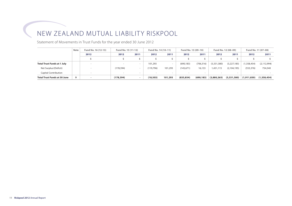# New Zealand Mutual Liability Riskpool

Statement of Movements in Trust Funds for the year ended 30 June 2012

|                                     | Fund No. 16 (12-13)<br><b>Note</b> |      | Fund No. 15 (11-12)      |                          | Fund No. 14 (10-11) |         | Fund No. 13 (09-10) |            |             | Fund No. 12 (08-09) | Fund No. 11 (07-08) |               |
|-------------------------------------|------------------------------------|------|--------------------------|--------------------------|---------------------|---------|---------------------|------------|-------------|---------------------|---------------------|---------------|
|                                     |                                    | 2012 | 2012                     | 2011                     | 2012                | 2011    | 2012                | 2011       | 2012        | 2011                | 2012                | 2011          |
|                                     |                                    |      |                          |                          |                     |         |                     |            |             |                     |                     |               |
| <b>Total Trust Funds at 1 July</b>  |                                    |      | $\sim$                   | $\sim$                   | 101.293             |         | (690.183)           | (706, 316) | (5,331,380) | (3,227,185)         | (1,358,454)         | (2, 112, 994) |
| Net Surplus/(Deficit)               |                                    |      | (178, 394)               | $\sim$                   | (119, 796)          | 101,293 | (145, 671)          | 16,133     | ,451,115    | (2, 104, 195)       | (553, 376)          | 754,540       |
| <b>Capital Contribution</b>         |                                    |      | $\overline{\phantom{a}}$ | $\sim$                   |                     |         |                     |            | $\sim$      |                     |                     |               |
| <b>Total Trust Funds at 30 June</b> | 9                                  |      | (178,394)                | $\overline{\phantom{a}}$ | (18, 503)           | 101,293 | (835, 854)          | (690, 183) | (3,880,265) | (5,331,380)         | (1,911,830)         | (1,358,454)   |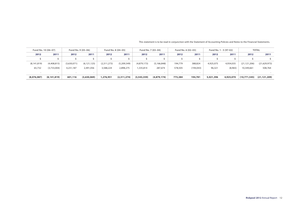| Fund No. 10 (06-07)      |               | Fund No. 9 (05-06)       |               | Fund No. 8 (04-05) |             |               | Fund No. 7 (03-04) | Fund No. 6 (02-03) |            | Fund No. 1 - 5 (97-02) |           | <b>TOTAL</b>   |                |
|--------------------------|---------------|--------------------------|---------------|--------------------|-------------|---------------|--------------------|--------------------|------------|------------------------|-----------|----------------|----------------|
| 2012                     | 2011          | 2012                     | 2011          | 2012               | 2011        | 2012          | 2011               | 2012               | 2011       | 2012                   | 2011      | 2012           | 2011           |
|                          |               |                          |               |                    |             |               |                    |                    |            |                        |           |                |                |
| (8, 141, 819)            | (4,408,815)   | (3,630,071)              | (6, 121, 125) | (2,311,273)        | (5,209,549) | (4,879,173)   | (5, 166, 848)      | 194,779            | 388,824    | 4.925.075              | 4,934,035 | (21, 121, 206) | (21,629,973)   |
| 65,732                   | (3,733,004)   | 4,231,187                | 2,491,056     | 3,588,224          | 2,898,275   | 1,335,814     | 287,674            | 578,505            | (194, 043) | 96,321                 | (8,965)   | 10,349,661     | 508,764        |
| $\overline{\phantom{a}}$ |               | $\overline{\phantom{a}}$ | $\sim$        |                    | $\sim$      | $\sim$        |                    | $\sim$             | $\sim$     |                        | $\sim$    | $\sim$         |                |
| (8,076,087)              | (8, 141, 819) | 601,116                  | (3,630,069)   | 1,276,951          | (2,311,274) | (3, 543, 359) | (4,879,174)        | 773,284            | 194,781    | 5,021,396              | 4,925,070 | (10,771,545)   | (21, 121, 209) |

This statement is to be read in conjunction with the Statement of Accounting Policies and Notes to the Financial Statements.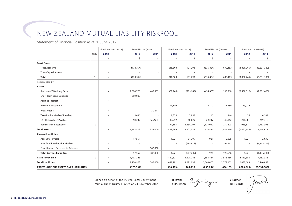# New Zealand Mutual Liability Riskpool

Statement of Financial Position as at 30 June 2012

|                                                 |             | Fund No. 16 (12-13)      | Fund No. 15 (11-12)      |                          | Fund No. 14 (10-11)      |                          | Fund No. 13 (09-10)      |            | Fund No. 12 (08-09) |               |
|-------------------------------------------------|-------------|--------------------------|--------------------------|--------------------------|--------------------------|--------------------------|--------------------------|------------|---------------------|---------------|
|                                                 | <b>Note</b> | 2012                     | 2012                     | 2011                     | 2012                     | 2011                     | 2012                     | 2011       | 2012                | 2011          |
|                                                 |             | \$                       | \$                       | \$                       | \$                       | \$                       | \$                       | \$         | \$                  | \$            |
| <b>Trust Funds</b>                              |             |                          |                          |                          |                          |                          |                          |            |                     |               |
| <b>Trust Accounts</b>                           |             |                          | (178, 394)               |                          | (18, 503)                | 101,293                  | (835, 854)               | (690, 183) | (3,880,265)         | (5,331,380)   |
| <b>Trust Capital Account</b>                    |             |                          |                          |                          | $\overline{\phantom{a}}$ | $\overline{\phantom{a}}$ |                          |            |                     |               |
| <b>Total</b>                                    | 9           | $\blacksquare$           | (178, 394)               | $\sim$                   | (18, 503)                | 101,293                  | (835, 854)               | (690, 183) | (3,880,265)         | (5,331,380)   |
| Represented by:                                 |             |                          |                          |                          |                          |                          |                          |            |                     |               |
| Assets                                          |             |                          |                          |                          |                          |                          |                          |            |                     |               |
| Bank - ANZ Banking Group                        |             |                          | 1,096,776                | 409,583                  | (367, 169)               | (209, 949)               | (434,065)                | 155,568    | (2,538,516)         | (1,922,625)   |
| Short Term Bank Deposits                        |             |                          | 390,000                  |                          |                          |                          |                          |            |                     |               |
| <b>Accrued Interest</b>                         |             |                          |                          |                          |                          | ٠                        |                          |            |                     |               |
| <b>Accounts Receivable</b>                      |             |                          |                          | $\overline{\phantom{a}}$ | 11,500                   | $\overline{a}$           | 2,300                    | 131,850    | 339,012             |               |
| Prepayments                                     |             |                          |                          | 30,841                   |                          | $\sim$                   |                          |            |                     |               |
| Taxation Receivable/(Payable)                   |             |                          | 5,496                    |                          | 1,375                    | 7,955                    | 10                       | 946        | 36                  | 4,587         |
| GST Receivable/(Payable)                        |             |                          | 50,237                   | (53, 424)                | 49,999                   | 60,029                   | 29,247                   | 38,862     | 238,301             | 269,318       |
| Reinsurance Receivable                          | 10          |                          | $\overline{\phantom{a}}$ | $\overline{\phantom{a}}$ | 1,777,584                | 1,464,297                | 1,127,059                | 1,759,693  | 933,511             | 2,763,393     |
| <b>Total Assets</b>                             |             | $\overline{\phantom{a}}$ | 1,542,509                | 387,000                  | 1,473,289                | 1,322,332                | 724,551                  | 2,086,919  | (1,027,656)         | 1,114,673     |
| <b>Current Liabilities</b>                      |             |                          |                          |                          |                          |                          |                          |            |                     |               |
| <b>Accounts Payable</b>                         |             |                          | 17,557                   |                          | 1,921                    | 81,709                   | 1,921                    | 2,035      | 1,921               | 2,035         |
| Interfund Payable/(Receivable)                  |             |                          |                          |                          |                          | (688, 918)               |                          | 196,611    |                     | (1, 138, 315) |
| Contributions Received in Advance               |             |                          | $\sim$                   | 387,000                  | $\sim$                   | $\sim$                   | $\overline{\phantom{a}}$ | $\sim$     | $\sim$              |               |
| <b>Total Current Liabilities</b>                |             |                          | 17,557                   | 387,000                  | 1,921                    | (607, 209)               | 1,921                    | 198,646    | 1,921               | (1, 136, 280) |
| <b>Claims Provision</b>                         | 10          |                          | 1,703,346                | $\sim$                   | 1,489,871                | 1,828,248                | 1,558,484                | 2,578,456  | 2,850,688           | 7,582,333     |
| <b>Total Liabilities</b>                        |             | $\overline{\phantom{a}}$ | 1,720,903                | 387,000                  | 1,491,792                | 1,221,039                | 1,560,405                | 2,777,102  | 2,852,609           | 6,446,053     |
| <b>EXCESS/(DEFICIT) ASSETS OVER LIABILITIES</b> |             | $\overline{\phantom{a}}$ | (178, 394)               | $\blacksquare$           | (18, 503)                | 101,293                  | (835, 854)               | (690, 183) | (3,880,265)         | (5,331,380)   |

Signed on behalf of the Trustee, Local Government Mutual Funds Trustee Limited on 23 November 2012

**B Taylor** By daylor CHAIRMAN

**J Palmer** Atratme Director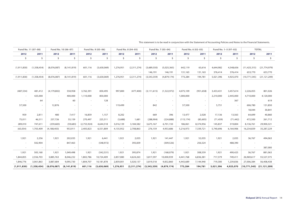|             | Fund No. 11 (07-08) |                          | Fund No. 10 (06-07) |             | Fund No. 9 (05-06)       |           | Fund No. 8 (04-05) |               | Fund No. 7 (03-04) | Fund No. 6 (02-03)       |            |                          | Fund No. 1-5 (97-02) |                | <b>TOTAL</b>                  |
|-------------|---------------------|--------------------------|---------------------|-------------|--------------------------|-----------|--------------------|---------------|--------------------|--------------------------|------------|--------------------------|----------------------|----------------|-------------------------------|
| 2012        | 2011                | 2012                     | 2011                | 2012        | 2011                     | 2012      | 2011               | 2012          | 2011               | 2012                     | 2011       | 2012                     | 2011                 | 2012           | 2011                          |
| \$          | \$                  | \$                       | \$                  | \$          | \$                       | \$        | \$                 | \$            | \$                 | \$                       | \$         | \$                       | \$.                  | $\mathsf{S}$   | \$                            |
|             |                     |                          |                     |             |                          |           |                    |               |                    |                          |            |                          |                      |                |                               |
| (1,911,830) | (1,358,454)         | (8,076,087)              | (8, 141, 819)       | 601,116     | (3,630,069)              | 1,276,951 | (2,311,274)        | (3,689,550)   | (5,025,365)        | 642,119                  | 63,616     | 4,644,982                | 4,548,656            | (11, 425, 315) | (21, 774, 979)                |
|             | $\sim$              |                          |                     |             |                          |           | $\sim$             | 146,191       | 146,191            | 131,165                  | 131,165    | 376,414                  | 376,414              | 653,770        | 653,770                       |
| (1,911,830) | (1,358,454)         | (8,076,087)              | (8, 141, 819)       | 601,116     | (3,630,069)              | 1,276,951 | (2,311,274)        | (3, 543, 359) | (4,879,174)        | 773,284                  | 194,781    | 5,021,396                | 4,925,070            | (10, 771, 545) | (21, 121, 209)                |
|             |                     |                          |                     |             |                          |           |                    |               |                    |                          |            |                          |                      |                |                               |
|             |                     |                          |                     |             |                          |           |                    |               |                    |                          |            |                          |                      |                |                               |
| (487, 534)  | 481,412             | (4, 179, 802)            | 550,958             | 3,762,391   | 830,495                  | 997,800   | (477, 400)         | (3, 111, 615) | (1,522,972)        | 4,075,109                | (951, 658) | 3,433,431                | 3,457,614            | 2,226,055      | 801,026                       |
| $\sim$      | 425,000             | $\sim$                   | 400,000             | 1,110,000   | 850,000                  |           | $\sim$             |               | $\sim$             | 1,000,000                |            | 2,210,000                | 2,445,000            | 4,710,000      | 4,120,000                     |
|             | 64                  |                          | 60                  | $\sim$      | 128                      |           |                    |               | $\sim$             |                          |            | $\overline{\phantom{a}}$ | 367                  |                | 619                           |
| 57,500      | $\sim$              | 12,876                   |                     |             | $\sim$                   | 119,499   |                    | 842           |                    | 57,500                   |            | 5,751                    |                      | 606,780        | 131,850                       |
| $\sim$      | $\sim$              |                          | $\sim$              |             | ٠                        |           | $\sim$             |               | $\sim$             | $\overline{\phantom{a}}$ |            |                          |                      | 18,044         | 30,841                        |
| 959         | 2,811               | 480                      | 7,417               | 16,859      | 1,157                    | 8,202     | $\sim$             | 669           | 396                | 13,477                   | 2,028      | 17,136                   | 13,563               | 64,699         | 40,860                        |
| 75,011      | 46,511              | 237,726                  | 55,159              | 270,497     | 225,511                  | (5,688)   | 1,681              | (288,904)     | (224, 888)         | (115, 174)               | (85, 605)  | (71, 459)                | (71, 442)            | 472,500        | 261,712                       |
| 289,010     | 747,611             | (259, 683)               | (59, 683)           | (2,753,924) | 4,644,518                | 3,016,139 | 3,184,582          | 3,675,167     | 6,701,150          | 186,061                  | 8,374,956  | 145,837                  | 319,804              | 8,136,761      | 29,900,321                    |
| (65, 054)   | 1,703,409           | (4, 188, 403)            | 953,911             | 2,405,823   | 6,551,809                | 4,135,952 | 2,708,863          | 276,159       | 4,953,686          | 5,216,973                | 7,339,721  | 5,740,696                | 6,164,906            | 16,234,839     | 35,287,229                    |
|             |                     |                          |                     |             |                          |           |                    |               |                    |                          |            |                          |                      |                |                               |
| 1,921       | 2,256               | 1,921                    | 202,035             | 1,921       | 6,441                    | 1,921     | 2,035              | 1,921         | 141,447            | 1,921                    | 52,035     | 1,921                    | 2,035                | 36,767         | 494,063                       |
| $\sim$      | 502,904             | $\overline{\phantom{a}}$ | 847,463             | $\sim$      | (548, 972)               | $\sim$    | 393,839            | $\sim$        | (309, 526)         | $\sim$                   | 256,524    | $\sim$                   | 488,390              |                |                               |
| $\sim$      | $\sim$              |                          | $\sim$              | $\sim$      | $\overline{\phantom{a}}$ |           | $\sim$             |               | $\sim$             | $\sim$                   |            | $\sim$                   | $\sim$               |                | 387,000                       |
| 1,921       | 505,160             | 1,921                    | 1,049,498           | 1,921       | (542, 531)               | 1,921     | 395,874            | 1,921         | (168, 079)         | 1,921                    | 308,559    | 1,921                    | 490,425              | 36,767         | 881,063                       |
| 1,844,855   | 2,556,703           | 3,885,763                | 8,046,232           | 1,802,786   | 10,724,409               | 2,857,080 | 4,624,263          | 3,817,597     | 10,000,939         | 4,441,768                | 6,836,381  | 717,379                  | 749,411              | 26,969,617     | 55,527,375                    |
| 1,846,776   | 3,061,863           | 3,887,684                | 9,095,730           | 1,804,707   | 10,181,878               | 2,859,001 | 5,020,137          | 3,819,518     | 9,832,860          | 4,443,689                | 7,144,940  | 719,300                  | 1,239,836            | 27,006,384     | 56,408,438                    |
| (1,911,830) | (1,358,454)         | (8,076,087)              | (8, 141, 819)       | 601,116     | (3,630,069)              | 1,276,951 | (2,311,274)        | (3, 543, 359) | (4,879,174)        | 773,284                  | 194,781    | 5,021,396                | 4,925,070            |                | $(10,771,545)$ $(21,121,209)$ |

This statement is to be read in conjunction with the Statement of Accounting Policies and Notes to the Financial Statements.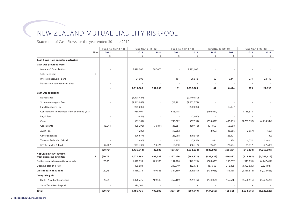# New Zealand Mutual Liability Riskpool

Statement of Cash Flows for the year ended 30 June 2012

|                                                               |             | Fund No. 16 (12-13) | Fund No. 15 (11-12)      |                          | Fund No. 14 (10-11)      |               | Fund No. 13 (09-10)      |                          | Fund No. 12 (08-09)      |               |
|---------------------------------------------------------------|-------------|---------------------|--------------------------|--------------------------|--------------------------|---------------|--------------------------|--------------------------|--------------------------|---------------|
|                                                               | <b>Note</b> | 2012                | 2012                     | 2011                     | 2012                     | 2011          | 2012                     | 2011                     | 2012                     | 2011          |
|                                                               |             | \$                  | \$                       | \$                       | \$                       | \$            | \$                       | \$                       | \$                       | \$            |
| <b>Cash flows from operating activities</b>                   |             |                     |                          |                          |                          |               |                          |                          |                          |               |
| Cash was provided from:                                       |             |                     |                          |                          |                          |               |                          |                          |                          |               |
| Members' Contributions                                        |             |                     | 3,479,000                | 387,000                  |                          | 3,511,667     |                          | $\overline{\phantom{a}}$ |                          |               |
| Calls Received                                                | 9           |                     |                          | ٠                        |                          |               |                          | $\sim$                   |                          |               |
| Interest Received - Bank                                      |             |                     | 34,006                   | $\sim$                   | 161                      | 20,842        | 62                       | 8,444                    | 279                      | 22,195        |
| Reinsurance recoveries received                               |             |                     | $\overline{\phantom{a}}$ | $\overline{\phantom{a}}$ | $\overline{\phantom{a}}$ | $\sim$        | $\overline{\phantom{a}}$ | $\overline{\phantom{a}}$ | $\overline{\phantom{a}}$ |               |
|                                                               |             |                     | 3,513,006                | 387,000                  | 161                      | 3,532,509     | 62                       | 8,444                    | 279                      | 22,195        |
| Cash was applied to:                                          |             |                     |                          |                          |                          |               |                          |                          |                          |               |
| Reinsurance                                                   |             |                     | (1,408,427)              |                          | $\sim$                   | (2,140,050)   |                          |                          |                          |               |
| Scheme Manager's Fee                                          |             |                     | (1,363,948)              | $\overline{\phantom{0}}$ | (11, 191)                | (1, 252, 771) |                          | $\overline{\phantom{a}}$ |                          |               |
| Fund Manager's Fee                                            |             |                     | (285,600)                | $\sim$                   | $\overline{\phantom{a}}$ | (280,000)     | $\sim$                   | (13, 337)                |                          |               |
| Contribution to expenses from prior fund years                |             |                     | 950,409                  | ÷.                       | 688,918                  |               | (196, 611)               | $\overline{\phantom{a}}$ | 1,138,315                |               |
| Legal Fees                                                    |             |                     | (854)                    | $\sim$                   | $\sim$                   | (7, 460)      | $\overline{a}$           | $\overline{\phantom{a}}$ |                          |               |
| Claims                                                        |             |                     | (95, 101)                | $\overline{\phantom{a}}$ | (756, 682)               | (57, 591)     | (533, 428)               | (495, 119)               | (1,787,996)              | (4, 254, 344) |
| Consultants                                                   |             | (18,044)            | (25, 398)                | (30, 841)                | (46, 351)                | (69, 416)     | 131,850                  | (55, 568)                |                          |               |
| <b>Audit Fees</b>                                             |             |                     | (1, 285)                 | $\overline{\phantom{a}}$ | (19, 252)                |               | (2,057)                  | (6,666)                  | (2,057)                  | (1,667)       |
| <b>Other Expenses</b>                                         |             |                     | (96, 677)                | $\overline{\phantom{a}}$ | (26,968)                 | (70, 975)     | $\overline{\phantom{a}}$ | (23, 124)                |                          | (9)           |
| Taxation Refunded / (Paid)                                    |             |                     | (5,496)                  | $\overline{\phantom{a}}$ | 4,115                    | (7, 955)      | 936                      | 839                      | 4,551                    | 13,826        |
| GST Refunded / (Paid)                                         |             | (2,707)             | (103, 436)               | 53,424                   | 10,030                   | (88, 412)     | 9,615                    | 27,694                   | 31,017                   | (27, 613)     |
|                                                               |             | (20, 751)           | (2,435,813)              | 22,583                   | (157, 381)               | (3,974,630)   | (589, 695)               | (565, 281)               | (616, 170)               | (4, 269, 807) |
| <b>Net Cash inflow/(outflow)</b><br>from operating activities | 8           | (20, 751)           | 1,077,193                | 409,583                  | (157, 220)               | (442, 121)    | (589, 633)               | (556, 837)               | (615,891)                | (4, 247, 612) |
| Net increase/(decrease) in cash held                          |             | (20, 751)           | 1,077,193                | 409,583                  | (157, 220)               | (442, 121)    | (589, 633)               | (556, 837)               | (615, 891)               | (4,247,612)   |
| Opening cash at 1 July                                        |             | $\sim$              | 409,583                  | $\sim$                   | (209, 949)               | 232,172       | 155,568                  | 712,405                  | (1,922,625)              | 2,324,987     |
| <b>Closing cash at 30 June</b>                                |             | (20, 751)           | 1,486,776                | 409,583                  | (367, 169)               | (209, 949)    | (434,065)                | 155,568                  | (2,538,516)              | (1,922,625)   |
| Comprising of:                                                |             |                     |                          |                          |                          |               |                          |                          |                          |               |
| Bank - ANZ Banking Group                                      |             | (20, 751)           | 1,096,776                | 409,583                  | (367, 169)               | (209, 949)    | (434,065)                | 155,568                  | (2,538,516)              | (1,922,625)   |
| <b>Short Term Bank Deposits</b>                               |             |                     | 390,000                  | $\overline{\phantom{a}}$ |                          |               |                          | $\overline{\phantom{a}}$ |                          |               |
| Total                                                         |             | (20, 751)           | 1,486,776                | 409,583                  | (367, 169)               | (209, 949)    | (434, 065)               | 155,568                  | (2,538,516)              | (1,922,625)   |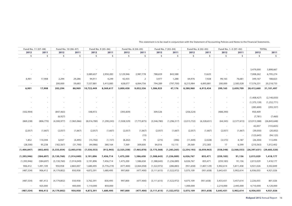| Fund No. 11 (07-08) |                          |                          | Fund No. 10 (06-07)      |             | Fund No. 9 (05-06)       |             | Fund No. 8 (04-05) |               | Fund No. 7 (03-04)       |               | Fund No. 6 (02-03)       |            | Fund No. 1-5 (97-02)     |                               | <b>TOTAL</b>   |
|---------------------|--------------------------|--------------------------|--------------------------|-------------|--------------------------|-------------|--------------------|---------------|--------------------------|---------------|--------------------------|------------|--------------------------|-------------------------------|----------------|
| 2012                | 2011                     | 2012                     | 2011                     | 2012        | 2011                     | 2012        | 2011               | 2012          | 2011                     | 2012          | 2011                     | 2012       | 2011                     | 2012                          | 2011           |
| \$                  | \$                       | \$                       | \$                       | \$          | \$                       | \$          | \$                 | \$            | \$                       | \$            | \$                       | \$         | \$                       | \$                            | \$             |
|                     |                          |                          |                          |             |                          |             |                    |               |                          |               |                          |            |                          |                               |                |
|                     |                          |                          |                          |             |                          |             |                    |               |                          |               |                          |            |                          |                               |                |
|                     |                          |                          |                          |             |                          |             |                    |               |                          |               |                          |            |                          | 3,479,000                     | 3,898,667      |
|                     |                          |                          | $\overline{\phantom{a}}$ | 3,089,657   | 2,950,283                | 3,129,946   | 2,987,778          | 788,659       | 843,588                  |               | 13,625                   |            |                          | 7,008,262                     | 6,795,274      |
|                     |                          |                          |                          |             |                          |             |                    |               |                          |               |                          |            |                          |                               |                |
| 6,901               | 17,908                   | 2,294                    | 29,286                   | 94,911      | 4,249                    | 42,435      | $\overline{2}$     | 3,977         | 1,288                    | 64,976        | 7,928                    | 99,165     | 76,681                   | 349,167                       | 188,823        |
| $\sim$              | $\overline{\phantom{a}}$ | 200,000                  | 59,683                   | 7,537,881   | 5,415,085                | 628,077     | 6,064,756          | 794,289       | (797, 700)               | 8,215,984     | 6,893,881                | 200,000    | 2,583,028                | 17,576,231                    | 20,218,733     |
| 6,901               | 17,908                   | 202,294                  | 88,969                   | 10,722,449  | 8,369,617                | 3,800,458   | 9,052,536          | 1,586,925     | 47,176                   | 8,280,960     | 6,915,434                | 299,165    | 2,659,709                | 28,412,660                    | 31,101,497     |
|                     |                          |                          |                          |             |                          |             |                    |               |                          |               |                          |            |                          |                               |                |
|                     |                          |                          |                          |             |                          |             |                    |               |                          |               |                          |            |                          | (1,408,427)                   | (2, 140, 050)  |
|                     |                          |                          |                          |             |                          |             |                    |               |                          |               | $\overline{\phantom{a}}$ |            |                          | (1, 375, 139)                 | (1, 252, 771)  |
|                     | $\overline{\phantom{a}}$ |                          | $\sim$                   |             | $\overline{\phantom{a}}$ |             |                    |               | $\overline{\phantom{a}}$ |               | $\sim$                   |            | ٠                        | (285,600)                     | (293, 337)     |
| (502,904)           | $\sim$                   | (847, 463)               | $\overline{\phantom{a}}$ | 548,972     | $\overline{\phantom{a}}$ | (393, 839)  |                    | 309,526       | $\sim$                   | (256, 524)    | $\overline{\phantom{a}}$ | (488, 390) |                          | 950,409                       |                |
|                     | $\overline{\phantom{a}}$ | (6,927)                  | $\sim$                   |             |                          |             |                    |               |                          |               | $\overline{\phantom{a}}$ |            | $\overline{\phantom{a}}$ | (7, 781)                      | (7, 460)       |
| (869, 238)          | (806, 770)               | (4,300,977)              | (1,965,066)              | (8,016,780) | (1, 290, 243)            | (1,928,529) | (7, 773, 875)      | (3,546,780)   | (1, 296, 317)            | (2,013,732)   | (6,328,651)              | (64, 345)  | (2,577,672)              | (23,913,588)                  | (26, 845, 648) |
| $\sim$ $-$          | $\sim$                   | $\overline{\phantom{a}}$ | $\overline{\phantom{a}}$ |             |                          | $\sim$      |                    |               | $\sim$                   |               | $\overline{\phantom{a}}$ |            | $\overline{\phantom{a}}$ | 42,057                        | (155, 825)     |
| (2,057)             | (1,667)                  | (2,057)                  | (1,667)                  | (2,057)     | (1,667)                  | (2,057)     | (1,667)            | (2,057)       | (1,667)                  | (2,057)       | (1,667)                  | (2,057)    | (1,667)                  | (39,050)                      | (20,002)       |
|                     |                          |                          |                          |             |                          |             |                    |               |                          |               |                          |            |                          |                               |                |
| $\sim$ $-$          | $\sim$                   |                          | $\sim$ $-$               | $\sim$      | $\overline{\phantom{a}}$ | $\sim 100$  | (15)               | $\sim$        | $\sim$                   | $\sim$        | $\sim$                   | $\sim$     | $\sim$                   | (123, 645)                    | (94, 123)      |
| 1,852               | 110,594                  | 6,937                    | (4, 495)                 | (15,702)    | (1, 157)                 | (8, 202)    | 79                 | (273)         | (396)                    | (11, 449)     | (2,028)                  | (3, 573)   | 4,187                    | (26, 304)                     | 113,494        |
| (28, 500)           | 95,238                   | (182, 567)               | (31,790)                 | (44,986)    | 380,164                  | 7,369       | 309,600            | 64,016        | 15,115                   | 29,569        | 272,383                  | 17         | 6,599                    | (210, 563)                    | 1,012,402      |
| (1,400,847)         | (602, 605)               | (5,333,054)              | (2,003,018)              | (7,530,553) | (912, 903)               | (2,325,258) | (7, 465, 878)      | (3, 175, 568) | (1, 283, 265)            | (2, 254, 193) | (6,059,963)              | (558, 348) | (2, 568, 553)            | $(26,397,631)$ $(29,683,320)$ |                |
| (1,393,946)         | (584, 697)               | (5, 130, 760)            | (1,914,049)              | 3,191,896   | 7,456,714                | 1,475,200   | 1,586,658          | (1,588,643)   | (1, 236, 089)            | 6,026,767     | 855,471                  | (259, 183) | 91,156                   | 2,015,029                     | 1,418,177      |
| (1, 393, 946)       | (584, 697)               | (5, 130, 760)            | (1,914,049)              | 3,191,896   | 7,456,714                | 1,475,200   | 1,586,658          | (1,588,643)   | (1,236,089)              | 6,026,767     | 855,471                  | (259, 183) | 91,156                   | 2,015,029                     | 1,418,177      |
| 906,412             | 1,491,109                | 950,958                  | 2,865,007                | 1,680,495   | (5,776,219)              | (477, 400)  | (2,064,058)        | (1,522,972)   | (286, 883)               | (951, 658)    | (1,807,129)              | 5,902,614  | 5,811,458                | 4,921,026                     | 3,502,849      |
| (487, 534)          | 906,412                  | (4, 179, 802)            | 950,958                  | 4,872,391   | 1,680,495                | 997,800     | (477, 400)         | (3, 111, 615) | (1,522,972)              | 5,075,109     | (951, 658)               | 5,643,431  | 5,902,614                | 6,936,055                     | 4,921,026      |
|                     |                          |                          |                          |             |                          |             |                    |               |                          |               |                          |            |                          |                               |                |
|                     |                          |                          |                          |             |                          |             |                    |               |                          |               |                          |            |                          |                               |                |
| (487, 534)          | 481,412                  | (4, 179, 802)            | 550,958                  | 3,762,391   | 830,495                  | 997,800     | (477, 400)         | (3, 111, 615) | (1,522,972)              | 4,075,109     | (951, 658)               | 3,433,431  | 3,457,614                | 2,226,055                     | 801,026        |
|                     | 425,000                  |                          | 400,000                  | 1,110,000   | 850,000                  |             |                    |               |                          | 1,000,000     |                          | 2,210,000  | 2,445,000                | 4,710,000                     | 4,120,000      |
| (487, 534)          | 906,412                  | (4, 179, 802)            | 950,958                  | 4,872,391   | 1,680,495                | 997,800     | (477,400)          | (3, 111, 615) | (1,522,972)              | 5,075,109     | (951, 658)               | 5,643,431  | 5,902,614                | 6,936,055                     | 4,921,026      |

This statement is to be read in conjunction with the Statement of Accounting Policies and Notes to the Financial Statements.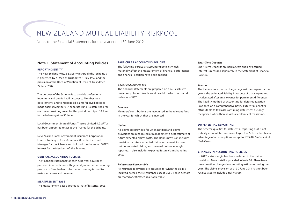# New Zealand Mutual Liability Riskpool

Notes to the Financial Statements for the year ended 30 June 2012

# **Note 1. Statement of Accounting Policies**

#### **Reporting Entity**

The New Zealand Mutual Liability Riskpool (the "Scheme") is governed by a Deed of Trust dated 1 July 1997 and the provision of the Deed of Variation of Deed of Trust dated 22 June 2007.

The purpose of the Scheme is to provide professional indemnity and public liability cover to Member local governments and to manage all claims for civil liabilities made against Members. A separate Fund is established for each year providing cover for the period from 4pm 30 June to the following 4pm 30 June.

Local Government Mutual Funds Trustee Limited (LGMFTL) has been appointed to act as the Trustee for the Scheme.

New Zealand Local Government Insurance Corporation Limited trading as Civic Assurance (Civic) is the Fund Manager for the Scheme and holds all the shares in LGMFTL in trust for the Members of the Scheme.

#### **General Accounting Policies**

The financial statements for each fund year have been prepared in accordance with generally accepted accounting practice in New Zealand. Accrual accounting is used to match expenses and revenue.

#### **Measurement Base**

The measurement base adopted is that of historical cost.

#### **Particular Accounting Policies**

The following particular accounting policies which materially affect the measurement of financial performance and financial position have been applied:

#### *Goods and Services Tax*

The financial statements are prepared on a GST exclusive basis except for receivables and payables which are stated inclusive of GST.

#### *Revenue*

Members' contributions are recognised in the relevant fund in the year for which they are invoiced.

#### *Claims*

All claims are provided for when notified and claims provisions are recognised at management's best estimate of future expected claims costs. The claims provision includes provision for future expected claims settlement, incurred but not reported claims, and incurred but not enough reported. It also includes expected future claims handling costs.

#### *Reinsurance Recoverable*

Reinsurance recoveries are provided for when the claims incurred exceed the reinsurance excess level. These debtors are stated at estimated realisable value.

#### *Short Term Deposits*

Short Term Deposits are held at cost and any accrued interest is recorded separately in the Statement of Financial Position.

#### *Taxation*

The income tax expense charged against the surplus for the year is the estimated liability in respect of that surplus and is calculated after an allowance for permanent differences. The liability method of accounting for deferred taxation is applied on a comprehensive basis. Future tax benefits attributable to tax losses or timing differences are only recognised when there is virtual certainty of realisation.

#### **Differential Reporting**

The Scheme qualifies for differential reporting as it is not publicly accountable and is not large. The Scheme has taken advantage of all exemptions except for FRS-10: *Statement of Cash Flows*.

#### **Changes in Accounting Policies**

In 2012, a risk margin has been included in the claims provision. More detail is provided in Note 10. There have been no other changes in accounting estimates during the year. The claims provision as at 30 June 2011 has not been recalculated to include a risk margin.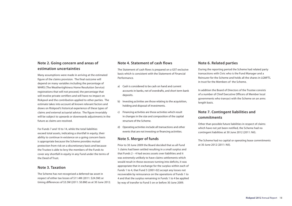# **Note 2. Going concern and areas of estimation uncertainties**

Many assumptions were made in arriving at the estimated figure of the claims provision. The final outcome will depend on many variables including the percentage of WHRS (The Weathertightness Home Resolution Service) registrations that will not proceed, the percentage that will involve private certifiers and will have no impact on Riskpool and the contribution applied to other parties. The estimate takes into account all known relevant factors and draws on Riskpool's historical experience of these types of claims and external actuarial advice. The figure invariably will be subject to upwards or downwards adjustments in the future as claims are resolved.

For Funds 7 and 10 to 14, while the total liabilities exceed total assets, indicating a shortfall in equity, their ability to continue in existence on a going concern basis is appropriate because the Scheme provides mutual protection from risk on a discretionary basis and because the Trustee is able to levy the members of the Funds to cover any shortfall in equity in any Fund under the terms of the Deed of Trust.

# **Note 3. Taxation**

The Scheme has not recognised a deferred tax asset in respect of either tax losses of \$11.4M (2011: \$24.5M) or timing differences of \$3.5M (2011: \$0.8M) as at 30 June 2012.

# **Note 4. Statement of cash flows**

The Statement of cash flows is prepared on a GST exclusive basis which is consistent with the Statement of Financial Performance.

- a) Cash is considered to be cash on hand and current accounts in banks, net of overdrafts, and short term bank deposits.
- b) Investing activities are those relating to the acquisition, holding and disposal of investments.
- c) Financing activities are those activities which result in changes in the size and composition of the capital structure of the Scheme.
- d) Operating activities include all transactions and other events that are not investing or financing activities.

# **Note 5. Merger of funds**

Prior to 30 June 2009 the Board decided that as all Fund 1 claims had been settled resulting in a small surplus and that Funds 2 – 4 had excess assets over liabilities and it was extremely unlikely to have claims settlements which would result in those excesses turning into deficits, it was appropriate that in exchange for the surplus within each of Funds 1 to 4, that Fund 5 (2001-02) accept any losses not recoverable by reinsurance on the operations of Funds 1 to 4 and that the surplus remaining in Funds 1 to 4 be applied by way of transfer to Fund 5 on or before 30 June 2009.

# **Note 6. Related parties**

During the reporting period the Scheme had related party transactions with Civic who is the Fund Manager and a Reinsurer for the Scheme and holds all the shares in LGMFTL in trust for the Members of the Scheme.

In addition the Board of Directors of the Trustee consists of a number of Chief Executive Officers of Member local governments who transact with the Scheme on an arms length basis.

# **Note 7. Contingent liabilities and commitments**

Other than possible future liabilities in respect of claims which have not yet been notified, the Scheme had no contingent liabilities at 30 June 2012 (2011: Nil).

The Scheme had no capital or operating lease commitments at 30 June 2012 (2011: Nil).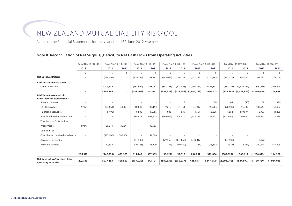# New Zealand Mutual Liability Riskpool

Notes to the Financial Statements for the year ended 30 June 2012 *(continued)*

# **Note 8. Reconciliation of Net Surplus/(Deficit) to Net Cash Flows from Operating Activities**

|                                                        | Fund No. 16 (12-13)      | Fund No. 15 (11-12) |                          |            | Fund No. 14 (10-11) |            | Fund No. 13 (09-10) |             | Fund No. 12 (08-09)      |               | Fund No. 11 (07-08)          |               | Fund No. 10 (06-07) |
|--------------------------------------------------------|--------------------------|---------------------|--------------------------|------------|---------------------|------------|---------------------|-------------|--------------------------|---------------|------------------------------|---------------|---------------------|
|                                                        | 2012                     | 2012                | 2011                     | 2012       | 2011                | 2012       | 2011                | 2012        | 2011                     | 2012          | 2011                         | 2012          | 2011                |
|                                                        | \$                       | Ś                   | \$                       | \$         | \$                  | \$         | Š.                  | \$          | Ś                        | Ś             | \$                           | \$            | Ŝ.                  |
| <b>Net Surplus/(Deficit)</b>                           | ÷.                       | (178, 394)          | $\sim$                   | (119, 796) | 101,293             | (145, 671) | 16,133              | 1,451,115   | (2, 104, 195)            | (553, 376)    | 754,540                      | 65,732        | (3,733,004)         |
| Add/(less) non cash items                              |                          |                     |                          |            |                     |            |                     |             |                          |               |                              |               |                     |
| <b>Claims Provision</b>                                | $\overline{\phantom{a}}$ | 1,703,346           | $\sim$                   | (651, 664) | 363,951             | (387, 338) | (628, 588)          | (2,901,763) | (2,456,303)              | (253, 247)    | (1,639,854)                  | (3,960,469)   | 1,704,028           |
|                                                        |                          | 1,703,346           | $\overline{\phantom{a}}$ | (651, 664) | 363,951             | (387, 338) | (628, 588)          | (2,901,763) | (2,456,303)              |               | $(253, 247)$ $(1, 639, 854)$ | (3,960,469)   | 1,704,028           |
| Add/(less) movements in<br>other working capital items |                          |                     |                          |            |                     |            |                     |             |                          |               |                              |               |                     |
| <b>Accrued Interest</b>                                |                          |                     |                          |            |                     |            | 18                  |             | 28                       | 64            | (45)                         | 60            | (19)                |
| <b>GST Receivable</b>                                  | (2,707)                  | (103, 661)          | 53,424                   | 10,030     | (90, 154)           | 9,615      | 31,451              | 31,017      | (25,905)                 | (28, 500)     | 95,709                       | (182, 567)    | (52,052)            |
| <b>Taxation Receivable</b>                             |                          | (5, 496)            | $\overline{\phantom{a}}$ | 6,580      | (7, 955)            | 936        | 839                 | 4,551       | 13,826                   | 1,852         | 110,594                      | 6,937         | (4, 495)            |
| Interfund Payable/Receivable                           | $\sim$                   |                     | $\sim$                   | 688,918    | (688, 918)          | (196, 611) | 204,610             | 1,138,315   | 338,271                  | (502, 904)    | 96,600                       | (847, 463)    | 21,884              |
| <b>Trust Income Distribution</b>                       |                          |                     | $\sim$                   |            | $\sim$              |            |                     |             | $\sim$                   |               | $\overline{\phantom{a}}$     |               |                     |
| Prepayments                                            | (18, 044)                | 30,841              | (30, 841)                |            | 38,953              |            |                     |             | $\overline{\phantom{a}}$ |               | $\sim$                       |               |                     |
| Deferred Tax                                           |                          |                     |                          |            |                     |            |                     |             |                          |               |                              |               |                     |
| Contribution received in advance                       | $\sim$                   | (387,000)           | 387,000                  |            | (241,000)           |            |                     |             | $\sim$                   |               | $\overline{\phantom{a}}$     |               |                     |
| <b>Accounts Receivable</b>                             | $\overline{\phantom{a}}$ |                     | $\sim$                   | (11,500)   | $\sim$              | 129,550    | (131, 850)          | (339,012)   |                          | (57, 500)     | $\sim$                       | (12, 876)     |                     |
| Accounts Payable                                       |                          | 17,557              | $\sim$                   | (79, 788)  | 81,709              | (114)      | (49, 450)           | (114)       | (13, 334)                | (335)         | (2,241)                      | (200, 114)    | 149,609             |
|                                                        |                          |                     |                          |            |                     |            |                     |             |                          |               |                              |               |                     |
|                                                        | (20, 751)                | (447, 759)          | 409,583                  | 614,240    | (907, 365)          | (56, 624)  | 55,618              | 834,757     | 312,886                  | (587, 323)    | 300,617                      | (1, 236, 023) | 114,927             |
| Net Cash inflow/(outflow) from<br>operating activities | (20, 751)                | 1,077,193           | 409,583                  | (157, 220) | (442, 121)          | (589, 633) | (556, 837)          | (615, 891)  | (4, 247, 612)            | (1, 393, 946) | (584, 697)                   | (5, 130, 760) | (1,914,049)         |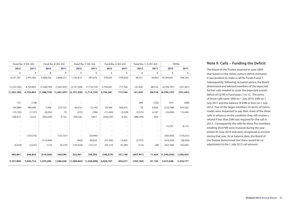|                          | Fund No. 9 (05-06)<br>Fund No. 8 (04-05) |                          | Fund No. 7 (03-04)          |                          | Fund No. 6 (02-03)              |            | Fund No. 1-5 (97-02) |            | <b>TOTAL</b>             |             |            |
|--------------------------|------------------------------------------|--------------------------|-----------------------------|--------------------------|---------------------------------|------------|----------------------|------------|--------------------------|-------------|------------|
| 2012                     | 2011                                     | 2012                     | 2011                        | 2012                     | 2011                            | 2012       | 2011                 | 2012       | 2011                     | 2012        | 2011       |
| \$                       | \$                                       | \$                       | \$                          | \$                       | \$                              | \$         | \$                   | \$         | \$                       | \$          | \$         |
| 4,231,187                | 2,491,056                                | 3,588,224                | 2,898,275                   | 1,335,814                | 287,674                         | 578,505    | (194, 043)           | 96,321     | (8,965)                  | 10,349,661  | 508,764    |
|                          |                                          |                          |                             |                          |                                 |            |                      |            |                          |             |            |
| (1,523,182)              | 4,724,803                                | (1,598,739)              | (1,481,207)                 | (3, 157, 358)            | (1,714,155)                     | 5,794,281  | 717,766              | 141,936    | 88,518                   | (6,794,197) | (321, 041) |
| (1,523,182)              | 4,724,803                                |                          | $(1,598,739)$ $(1,481,207)$ |                          | $(3, 157, 358)$ $(1, 714, 155)$ | 5,794,281  | 717,766              | 141,936    | 88,518                   | (6,794,197) | (321, 041) |
|                          |                                          |                          |                             |                          |                                 |            |                      |            |                          |             |            |
| 127                      | (128)                                    |                          |                             |                          |                                 |            |                      | 368        | (322)                    | 619         | (468)      |
| (44,986)                 | 380,699                                  | 7,369                    | 310,735                     | 64,016                   | (2, 145)                        | 29,568     | 266,610              | 18         | 6,830                    | (210, 788)  | 975,202    |
| (15,702)                 | (1, 157)                                 | (8, 202)                 | 79                          | (273)                    | (396)                           | (11, 449)  | (2,028)              | (3, 572)   | 4,187                    | (23, 838)   | 113,494    |
| 548,972                  | 4,352                                    | (393, 839)               | 9,122                       | 309,526                  | 4,871                           | (256, 524) | 8,252                | (488, 390) | 956                      |             |            |
|                          | $\overline{\phantom{a}}$                 |                          |                             | $\overline{\phantom{a}}$ | $\overline{\phantom{a}}$        | ٠          | $\sim$               |            |                          |             |            |
|                          | ٠                                        |                          | ÷                           |                          | $\sim$                          |            | ٠                    |            |                          | 12,797      | 8,112      |
|                          |                                          |                          |                             |                          |                                 |            |                      |            | $\overline{\phantom{a}}$ |             |            |
| $\overline{\phantom{a}}$ | (139, 370)                               | $\overline{\phantom{a}}$ | (142, 167)                  |                          | (34,994)                        |            |                      |            |                          | (387,000)   | (170, 531) |
|                          | $\overline{\phantom{a}}$                 | (119, 499)               |                             | (842)                    | 89,925                          | (57, 500)  | 13,625               | (5,751)    | $\overline{\phantom{a}}$ | (474, 930)  | (28, 300)  |
| (4,520)                  | (3, 541)                                 | (114)                    | (8, 179)                    | (139, 526)               | 133,131                         | (50, 114)  | 45,289               | (114)      | (48)                     | (457, 296)  | 332,945    |
|                          |                                          |                          |                             |                          |                                 |            |                      |            |                          |             |            |
| 483,891                  | 240,855                                  | (514, 285)               | 169,590                     | 232,901                  | 190,392                         | (346, 019) | 331,748              | (497, 441) | 11,603                   | (1,540,436) | 1,230,454  |
| 3,191,896                | 7,456,714                                | 1,475,200                | 1,586,658                   |                          | $(1,588,643)$ $(1,236,089)$     | 6,026,767  | 855,471              | (259, 184) | 91,156                   | 2,015,028   | 1,418,177  |
|                          |                                          |                          |                             |                          |                                 |            |                      |            |                          |             |            |

# **Note 9. Calls – Funding the Deficit**

The Board of the Trustee resolved in June 2009 that based on the claims outturn deficit estimates it was prudent to make a call for Funds 6 and 7. Subsequently, following actuarial advice, the Board determined and advised members of the expected further calls needed to cover the expected overall deficit of \$27M in Fund years 7 to 12. The terms of those calls were: \$9M on 1 July 2010, \$9M on 1 July 2011 and the balance (if \$9M or less) on 1 July 2012. Five of the larger members (in terms of claims made) were requested to pay their share of the three calls in advance on the condition they will receive a refund if less than \$9M was required for the call in 2012. Consequently the calls for these five members totalling \$6.679M were invoiced during the year ended 30 June 2010 and were recognised as income during that year. As at balance date, the Board of the Trustee determined that there would be no adjustment to the 1 July 2012 call amount.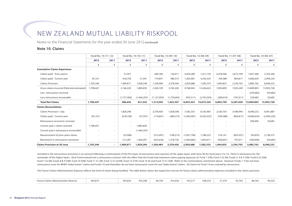# New Zealand Mutual Liability Riskpool

Notes to the Financial Statements for the year ended 30 June 2012 *(continued)*

# **Note 10. Claims**

|                                            | Fund No. 15 (11-12) |                          | Fund No. 14 (10-11) |                          | Fund No. 13 (09-10) |             | Fund No. 12 (08-09) |                          | Fund No. 11 (07-08) |            | Fund No. 10 (06-07) |             |
|--------------------------------------------|---------------------|--------------------------|---------------------|--------------------------|---------------------|-------------|---------------------|--------------------------|---------------------|------------|---------------------|-------------|
|                                            | 2012                | 2011                     | 2012                | 2011                     | 2012                | 2011        | 2012                | 2011                     | 2012                | 2011       | 2012                | 2011        |
|                                            | \$                  | Ś                        | Ŝ.                  | \$.                      | Ś                   | Ś.          | Ś                   | Ś.                       | Ŝ.                  | Ś          | Ś.                  | Ŝ.          |
| <b>Cumulative Claims Experience</b>        |                     |                          |                     |                          |                     |             |                     |                          |                     |            |                     |             |
| Claims paid - Prior year(s)                |                     | $\sim$                   | 57,591              | $\sim$                   | 606,784             | 126,411     | 5,854,289           | 1,611,754                | 4,478,566           | 3,673,749  | 7,857,496           | 5,763,266   |
| Claims paid - Current year                 | 95,101              | $\sim$                   | 618,758             | 57,591                   | 174,841             | 480,373     | 1,063,967           | 4,242,535                | 769,388             | 804,817    | 4,066,634           | 2,094,230   |
| <b>Claims Provision</b>                    | 1,703,346           | $\sim$                   | 1,489,871           | 1,828,248                | 1,558,484           | 2,578,456   | 2,850,688           | 7,582,333                | 1,844,855           | 2,556,703  | 3,885,763           | 8,046,232   |
| Gross claims incurred (Paid and estimated) | 1,798,447           | $\sim$                   | 2,166,220           | 1,885,839                | 2,340,109           | 3,185,240   | 9,768,944           | 13,436,622               | 7,092,809           | 7,035,269  | 15,809,893          | 15,903,728  |
| Less reinsurance received                  |                     | ۰.                       |                     | $\overline{\phantom{a}}$ |                     | $\sim$      |                     | $\overline{\phantom{a}}$ |                     |            | (259, 683)          | (59, 683)   |
| Less reinsurance recoverable               |                     | $\sim$                   | (1,777,584)         | (1,464,297)              | (1, 127, 059)       | (1,759,693) | (933, 511)          | (2,763,393)              | (289, 010)          | (747, 611) | 259,683             | 59,683      |
| <b>Total Net Claims</b>                    | 1,798,447           | $\sim$                   | 388,636             | 421,542                  | 1,213,050           | 1,425,547   | 8,835,433           | 10,673,229               | 6,803,799           | 6,287,658  | 15,809,893          | 15,903,728  |
| <b>Claims Reconciliation</b>               |                     |                          |                     |                          |                     |             |                     |                          |                     |            |                     |             |
| Claims Provision 1 July                    |                     | $\sim$                   | 1,828,248           |                          | 2,578,456           | 1,828,308   | 7,582,333           | 8,183,965                | 2,556,703           | 3,448,946  | 8,046,232           | 6,401,887   |
| Claims paid - Current year                 | (95, 101)           | $\sim$                   | (618, 758)          | (57.591)                 | (174, 841)          | (480, 373)  | (1,063,967)         | (4, 242, 535)            | (769, 388)          | (804, 817) | (4,066,634)         | (2,094,230) |
| Reinsurance recoveries received            |                     | $\sim$                   | ۰                   | $\sim$                   |                     | $\sim$      |                     | ٠                        |                     |            | 200,000             | 59,683      |
| Current year's claims received             | 1,798,447           | $\sim$                   | ٠                   | 1,885,839                |                     |             |                     |                          |                     |            |                     |             |
| Current year's reinsurance recoverable     |                     | $\sim$                   |                     | (1,464,297)              |                     | $\sim$      |                     |                          |                     |            |                     |             |
| Reassessment of prior years claims         |                     | $\sim$                   | (32,906)            | $\overline{\phantom{a}}$ | (212, 497)          | (148, 215)  | (1,837,796)         | 1,786,232                | 516,141             | (835,037)  | (93, 835)           | 3,738,575   |
| Movement in reinsurance recoveries         |                     | $\overline{\phantom{a}}$ | 313,287             | 1,464,297                | (632, 634)          | 1,378,736   | (1,829,882)         | 1,854,671                | (458, 601)          | 747,611    | (200,000)           | (59, 683)   |
| <b>Claims Provision at 30 June</b>         | 1,703,346           | $\blacksquare$           | 1,489,871           | 1,828,248                | 1,558,484           | 2,578,456   | 2,850,688           | 7,582,333                | 1,844,855           | 2,556,703  | 3,885,763           | 8,046,232   |

Included in the reinsurance recoveries is an amount following a commutation of the first layer of reinsurance and a portion of the upper layers with Swiss Re for fund years 3 to 10. There is reinsurance for the remainder of the higher layers. Each Fund entered into a reinsurance contract with the effect that the Funds had maximum claims paying exposure of: Fund 1 \$2M, Fund 2 \$2.5M, Funds 3, 4 & 5 \$3M, Fund 6 \$3.25M, Fund 7 \$3.5M, Funds 8 & 9 \$4M, Fund 10 \$6M, Fund 11 \$1.5M, Fund 12 \$1.625M, Fund 13 \$1M, Fund 14 \$0 and Fund 15 \$1.35M. Refer to the commutation commment above. However Funds 7 -9 do not have reinsurance cover for WHRS "leaky homes" claims and Funds 10 and thereafter do not have reinsurance cover for any "leaky homes" claims. All claims for Fund 14 are covered by reinsurance.

The Future Claims Administration Expense reflects the level of claims being handled. The table below shows the respective reserves for future claims administration expenses included in the claims provision.

| inistration Reserve<br>. Claims Admi<br>Future ( | 492,815 |  | 343,824 | 470,248 | 50,169 | 416,456 | 163,317 | 548,333 | $-1 - -$<br>- 574, ا ر | $03.70^{\circ}$<br>33,703 | 68,76 | 90,232 |
|--------------------------------------------------|---------|--|---------|---------|--------|---------|---------|---------|------------------------|---------------------------|-------|--------|
|--------------------------------------------------|---------|--|---------|---------|--------|---------|---------|---------|------------------------|---------------------------|-------|--------|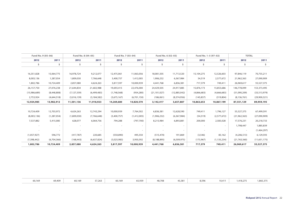|               | Fund No. 9 (05-06)<br>Fund No. 8 (04-05) |               | Fund No. 7 (03-04) |                          | Fund No. 6 (02-03) |                | Fund No. 1-5 (97-02) |             | <b>TOTAL</b>  |                |              |
|---------------|------------------------------------------|---------------|--------------------|--------------------------|--------------------|----------------|----------------------|-------------|---------------|----------------|--------------|
| 2012          | 2011                                     | 2012          | 2011               | 2012                     | 2011               | 2012           | 2011                 | 2012        | 2011          | 2012           | 2011         |
| Ŝ.            | \$.                                      | Ś.            | Ś.                 | \$                       | Ś                  | \$             | Ŝ.                   | Ś.          | Ś.            | \$             | Ŝ            |
|               |                                          |               |                    |                          |                    |                |                      |             |               |                |              |
| 16,351,828    | 15,064,775                               | 16,978,724    | 9,212,077          | 12,475,061               | 11,063,056         | 18,081,505     | 11,713,520           | 15,104,275  | 12,526,603    | 97,846,119     | 70,755,211   |
| 8,003,136     | 1,287,054                                | 1,809,030     | 7,766,648          | 3,400,757                | 1,412,005          | 1,906,232      | 6,367,984            | 54,519      | 2,577,672     | 21,962,363     | 27,090,909   |
| 1,802,786     | 10,724,409                               | 2,857,080     | 4,624,263          | 3,817,597                | 10,000,939         | 4,441,768      | 6,836,381            | 717,379     | 749,411       | 26,969,617     | 55,527,375   |
| 26,157,750    | 27,076,238                               | 21,644,834    | 21,602,988         | 19,693,415               | 22,476,000         | 24,429,505     | 24,917,885           | 15,876,173  | 15,853,686    | 146,778,099    | 153,373,495  |
| (15,986,689)  | (8,448,808)                              | (7, 127, 559) | (6,499,483)        | (1,748,568)              | (954, 280)         | (21, 101, 027) | (12,885,042)         | (4,866,683) | (4,666,683)   | (51,090,209)   | (33,513,979) |
| 2,753,924     | (4,644,518)                              | (3,016,139)   | (3, 184, 582)      | (3,675,167)              | (6,701,150)        | (186,061)      | (8,374,956)          | (145, 837)  | (319, 804)    | (8, 136, 761)  | (29,900,321) |
| 12,924,985    | 13,982,912                               | 11,501,136    | 11,918,923         | 14,269,680               | 14,820,570         | 3,142,417      | 3,657,887            | 10,863,653  | 10,867,199    | 87,551,129     | 89,959,195   |
|               |                                          |               |                    |                          |                    |                |                      |             |               |                |              |
| 10,724,409    | 12,703,972                               | 4,624,263     | 12,743,294         | 10,000,939               | 7,764,502          | 6,836,381      | 12,628,590           | 749,411     | 1,796,127     | 55,527,375     | 67,499,591   |
| (8,003,136)   | (1, 287, 054)                            | (1,809,030)   | (7,766,648)        | (3,400,757)              | (1,412,005)        | (1,906,232)    | (6,367,984)          | (54, 519)   | (2,577,672)   | (21, 962, 363) | (27,090,909) |
| 7,537,882     | 5,415,085                                | 628,077       | 6,064,756          | 794,288                  | (797, 700)         | 8,215,984      | 6,893,881            | 200,000     | 2,583,028     | 17,576,231     | 20,218,733   |
|               |                                          |               | $\sim$             | $\overline{\phantom{a}}$ | $\sim$             |                | $\sim$               | $\sim$      | $\sim$        | 1,798,447      | 1,885,839    |
|               |                                          |               |                    |                          |                    |                |                      |             |               | $\sim$         | (1,464,297)  |
| (1,057,927)   | 596,772                                  | (417, 787)    | 220,685            | (550, 890)               | 495,550            | (515, 470)     | 191,869              | (3,546)     | 83,162        | (4, 206, 513)  | 6,129,593    |
| (7, 398, 442) | (6,704,366)                              | (168, 443)    | (6,637,824)        | (3,025,983)              | 3,950,592          | (8, 188, 895)  | (6,509,975)          | (173, 967)  | (1, 135, 234) | (21,763,560)   | (11,651,175) |
| 1,802,786     | 10,724,409                               | 2,857,080     | 4,624,263          | 3,817,597                | 10,000,939         | 4,441,768      | 6,836,381            | 717,379     | 749,411       | 26,969,617     | 55,527,375   |

| 69,409<br>60,169 | 60,169 | 57,263 | 60,169 | 65,939 | 48,708 | 43,381 | 8,596 | 10,411 | 1,418,275 | 1,865,375 |
|------------------|--------|--------|--------|--------|--------|--------|-------|--------|-----------|-----------|
|------------------|--------|--------|--------|--------|--------|--------|-------|--------|-----------|-----------|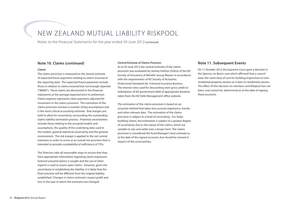# New Zealand Mutual Liability Riskpool

Notes to the Financial Statements for the year ended 30 June 2012 *(continued)*

### **Note 10. Claims (***continued***)**

#### *Claims*

The claims provision is measured as the central estimate of expected future payments relating to claims incurred at the reporting date. The expected future payments include those in relation to claims incurred but not enough reported ("IBNER"). These claims are discounted in the financial statements at the average expected term to settlement. Claims expense represents claim payments adjusted for movement in the claims provision. The estimation of the claims provision involves a number of key assumptions and is the most critical accounting estimate. Risk margins are held to allow for uncertainty surrounding the outstanding claims liability estimation process. Potential uncertainties include those relating to the actuarial models and assumptions, the quality of the underlying data used in the models, general statistical uncertainty and the general environment. The risk margin is applied to the net central estimates in order to arrive at an overall net provision that is intended to provide a probability of sufficiency of 75%.

The Directors take all reasonable steps to ensure that they have appropriate information regarding claims exposures. External actuarial advice is sought and the use of other experts is used to assess open claims. However, given the uncertainty in establishing the liability, it is likely that the final outcome will be different from the original liability established. Changes in claims estimates impact profit and loss in the year in which the estimates are changed.

#### *Central Estimate of Claims Provision*

As at 30 June 2012 the central estimate of the claims provision was evaluated by Jeremy Holmes (Fellow of the NZ Society of Actuaries) of Melville Jessup Weaver in accordance with the requirements of NZ Society of Actuaries: *Professional Standards No. 4 General Insurance Business*. The interest rates used for discounting were gross yields to redemption of NZ government debt of appropriate duration taken from the NZ Debt Management office website.

The estimation of the claims provision is based on an actuarial method that takes into account experience, trends, and other relevant data. The estimation of the claims provision is subject to a level of uncertainty. For 'leaky building' claims, the estimation is subject to a greater degree of uncertainty due to the nature of the claims, which are variable in size and settle over a longer term. The claims provision is considered the Fund Manager's best estimate as at the date of the signed accounts, but should be viewed in respect of the uncertainties.

# **Note 11. Subsequent Events**

On 11 October 2012 the Supreme Court gave a decision in the Spencer on Byron case which affirmed that a council owes the same duty of care for building inspections to nonresidential property owners as it does to residential owners. The effect of this decision on members and Riskpool has not been, and cannot be, determined as at the date of signing these accounts.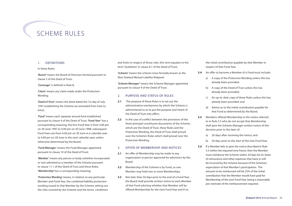# Scheme Rules

# 1. Definitions

#### In these Rules:

*'Board'* means the Board of Directors formed pursuant to clause 5 of the Deed of Trust;

*'Coverage'* is defined in Rule 8;

*'Claim'* means any claim made under the Protection Wording;

*'Deed of Trust'* means the deed dated the 1st day of July 1997 establishing the Scheme (as amended from time to time);

*'Fund'* means each separate annual fund established pursuant to clause 4 of the Deed of Trust; *'Fund Year'* has a corresponding meaning; the first Fund Year is from 4.00 pm on 30 June 1997 to 4.00 pm on 30 June 1998; subsequent Fund Years are from 4.00 pm on 30 June in a calendar year to 4.00 pm on 30 June in the next calendar year, unless otherwise determined by the Board;

*'Fund Manager'* means the Fund Manager appointed pursuant to clause 10 of the Deed of Trust;

*'Member'* means any person or body (whether incorporated or not) admitted as a member of the Scheme pursuant to clause 11.1 of the Deed of Trust and these Rules; *'Membership'* has a corresponding meaning;

*'Protection Wording'* means, in relation to any particular Member and Fund Year, the combined liability protection wording issued to that Member by the Scheme setting out the risks covered by the Scheme and the terms, conditions and limits in respect of those risks: this term equates to the term '*Guidelines*' in clause 8.1 of the Deed of Trust;

*'Scheme'* means the scheme more formally known as the New Zealand Mutual Liability Riskpool;

*'Scheme Manager'* means the Scheme Manager appointed pursuant to clause 9 of the Deed of Trust.

# 2. Purpose and Status of Rules

- **2.1** The purpose of these Rules is to set out the administrative mechanisms by which the Scheme is administered so as to put the purpose and intent of the Deed of Trust into effect.
- **2.2** In the case of conflict between the provisions of the three principal constituent documents of the Scheme, which are the Deed of Trust, these Rules and the Protection Wording, the Deed of Trust shall prevail over the Scheme's Rules which shall prevail over the Protection Wording.

### 3. Offer of Membership and Notices

- **3.1** An offer of Membership may be made to any organisation or person approved for admission by the Board.
- **3.2** Membership of the Scheme is by Fund, so one Member may hold one or more Memberships.
- **3.3** Not later than 50 days prior to the end of a Fund Year, the Board shall provide written notice to each Member of that Fund advising whether that Member will be offered Membership for the next Fund Year and if so,

the initial contribution payable by that Member in respect of that Fund Year.

- **3.4** An offer to become a Member of a Fund must include:
	- a) A copy of the Protection Wording unless this has already been provided;
	- b) A copy of the Deed of Trust unless this has already been provided;
	- c) An up-to-date copy of these Rules unless this has already been provided; and
	- d) Advice as to the initial contribution payable for that Fund as determined by the Board.
- **3.5** Members offered Membership in the notice referred to in Rule 3.3 who do not accept that Membership shall give the Scheme Manager written notice of this decision prior to the later of:
	- a) 20 days after receiving the notice; and
	- b) 30 days prior to the start of the new Fund Year.
- **3.6** If a Member fails to give the notice described in Rule 3.5 within the required time frame, then the Member must reimburse the Scheme within 20 days for its share of reinsurance and other expenses that have or will be incurred by the Scheme because of the Scheme's expectation of that Member's participation. The amount to be reimbursed will be 25% of the initial contribution that the Member would have paid for Membership of the next Fund Year, being a reasonable pre-estimate of the reimbursement required.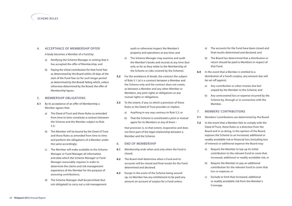# 4. Acceptance of Membership Offer

A body becomes a Member of a Fund by:

- a) Notifying the Scheme Manager in writing that it has accepted the offer of Membership; and
- b) Paying the initial contribution for that Fund Year as determined by the Board within 20 days of the start of the Fund Year (or for such longer period as determined by the Board) failing which, unless otherwise determined by the Board, the offer of Membership lapses.

### 5. Membership Obligations

- **5.1** By its acceptance of an offer of Membership a Member agrees that:
	- a) The Deed of Trust and these Rules as amended from time to time constitute a contract between the Scheme and the Member subject to Rule 5.3;
	- b) The Member will be bound by the Deed of Trust and these Rules as amended from time to time and perform the obligations of a Member under the same accordingly;
	- c) The Member will make available to the Scheme Manager or Fund Manager all information and data which the Scheme Manager or Fund Manager reasonably requires in order to determine the claims and risk management experience of the Member for the purpose of assessing contributions;
	- d) The Scheme Manager shall be permitted (but not obligated) to carry out a risk management

audit or otherwise inspect the Member's property and operations at any time; and

- e) The Scheme Manager may examine and audit the Member's books and records at any time (but only so far as they relate to the Membership of the Scheme or risks covered by the Scheme).
- **5.2** For the avoidance of doubt, the contract the subject of Rule 5.1 (a) is a contract between a Member and the Scheme only and the contract does not create, as between a Member and any other Member or Members, any joint rights or obligations or any mutual rights or obligations.
- **5.3** To the extent, if any, to which a provision of these Rules or the Deed of Trust provides or implies:
	- a) Anything in any way contrary to Rule 5.2; or
	- b) That the Scheme is constituted a joint or mutual agent for its Members or any of them –

that provision is, to that extent, inoperative and does not form part of the legal relationship between a Member and the Scheme.

### 6. End of Membership

- **6.1** Membership ends when and only when the Fund is closed.
- **6.2** The Board shall determine when a Fund and its accounts will be closed and final results for the Fund determined and declared.
- **6.3** Except in the event of the Scheme being wound up, no Member has any entitlement to be paid any amount on account of surplus for a Fund unless:
- a) The accounts for the Fund have been closed and final results determined and declared; and
- b) The Board has determined that a distribution or return should be paid to Members in respect of that Fund.
- **6.4** In the event that a Member is entitled to a distribution of a Fund's surplus, any amount due will be set-off against:
	- a) Any contribution or other monies due but unpaid by the Member to the Scheme; and
	- b) Any unrecovered loss or expense incurred by the Scheme by, through or in connection with the Member.

### 7. Members' Contributions

- **7.1** Members' contributions are determined by the Board.
- **7.2** In the event that a Member fails to comply with the Deed of Trust, these Rules or a direction from the Board and in so doing, in the opinion of the Board, exposes the Scheme to an increased, additional or readily avoidable risk or financial loss (including loss of interest) or additional expense the Board may:
	- a) Require the Member to top up its initial contribution to the relevant Fund to cover that increased, additional or readily avoidable risk; or
	- b) Require the Member to pay an additional contribution for the relevant Fund to cover that loss or expense; or
	- c) Exclude or limit that increased, additional or readily avoidable risk from the Member's Coverage.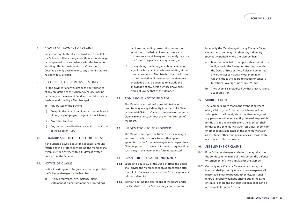

# 8. Coverage (Payment of Claims)

Subject always to the Deed of Trust and these Rules, the Scheme will indemnify each Member for damages or compensation in accordance with the Protection Wording. This is the definition of 'Coverage'. Coverage is only available once any other insurance has been fully utilised.

#### 9. Recourse to Scheme Assets Only

For the payment of any Claim or the performance of any obligation of the Scheme, recourse may be had solely to the relevant Fund and no claim may be made or endorsed by a Member against:

- a) Any Trustee of the Scheme;
- b) Except in the case of negligence or other breach of duty, any employee or agent of the Scheme;
- c) Any other Fund; or
- d) Any person described in clauses 13.1.1 to 13.1.4 of the Deed of Trust.

### 10. REIMBURSABLE DEDUCTIBLE OR EXCESS

If the Scheme pays a deductible or excess amount referred to in a Protection Wording the Member shall reimburse the Scheme within 14 days of written notice from the Scheme.

# 11. Notice of Claims

Notice in writing must be given as soon as possible to the Scheme Manager by the Member:

a) Of any occurrence, circumstance, claim, statement of claim, summons or proceedings or of any impending prosecution, inquest or inquiry, or knowledge of any occurrence or circumstances which may subsequently give rise to a Claim, irrespective of its quantum; and

b) Of any change materially affecting or varying any of the facts or circumstances existing at the commencement of Membership that shall come to the knowledge of the Member. A Member's knowledge shall be deemed to include the knowledge of any person whose knowledge would at law be that of the Member.

# 12. Admissions Not to be Made

The Member shall not make any admission, offer, promise or give any indemnity in respect of a Claim or potential Claim or Claim circumstance or potential Claim circumstance without the written consent of the Board.

### 13. Information to be Provided

The Member must provide to the Scheme Manager and any loss adjuster, solicitor or other agent appointed by the Scheme Manager with respect to a Claim or potential Claim all information requested by such party in the manner and format requested.

### 14. Grant or Refusal of Indemnity

- **14.1** Subject to clause 8.2 of the Deed of Trust, the Board shall advise the Member as soon as practicable after receipt of a Claim as to whether the Scheme grants or refuses indemnity.
- **14.2** Without limiting the discretions of the Board under the Deed of Trust, the Scheme may choose not to

indemnify the Member against any Claim or Claim circumstance and may withdraw any indemnity previously granted where the Member has:

- a) Breached or failed to comply with a condition or obligation in the Protection Wording or under the Deed of Trust or these Rules or committed any other act or made any other omission which entitles the Board to reduce or cancel a Member's Coverage under Rule 21; and
- b) The Scheme is prejudiced by that breach, failure, act or omission.

# 15. Subrogation

The Member agrees that in the event of payment of any Claim by the Scheme, the Scheme will be subrogated to all the rights of the Member against any person or other legal entity deemed responsible for the Claim, and in such event, the Member shall render to the Scheme Manager, loss adjuster, solicitor or other agent appointed by the Scheme Manager all assistance other than pecuniary, as is reasonably necessary to effect recovery.

#### 16. Settlement of Claims

- **16.1** If the Scheme Manager so desires, it may take over the conduct in the name of the Member the defence or settlement of any claim against the Member.
- **16.2** On notifying a Claim or Claim circumstance, the Member shall promptly take at its own expense all reasonable steps to prevent other loss, personal injury or property damage arising out of the same or similar conditions, but such expense shall not be recoverable from the Scheme.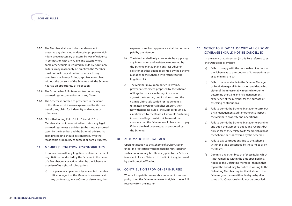# scheme rules

- **16.3** The Member shall use its best endeavours to preserve any damaged or defective property which might prove necessary or useful by way of evidence in connection with any Claim and except where some other course is required by Rule 16.2, but only so far as may reasonably be practical, the Member must not make any alteration or repair to any premises, machinery, fittings, appliances or plant without the consent of the Scheme until the Scheme has had an opportunity of inspection.
- **16.4** The Scheme has full discretion to conduct any proceedings in connection with any Claim.
- **16.5** The Scheme is entitled to prosecute in the name of the Member, at its own expense and for its own benefit, any claim for indemnity or damages or otherwise.
- **16.6** Notwithstanding Rules 16.1, 16.4 and 16.5, a Member shall not be required to contest any legal proceedings unless a solicitor (to be mutually agreed upon by the Member and the Scheme) advises that such proceeding should be contested, with the reasonable probability of success or partial success.

#### 17. MEMBERS' LITIGATION RESPONSIBILITIES

In connection with any litigation or claim settlement negotiations conducted by the Scheme in the name of a Member, or any action taken by the Scheme in exercise of its rights of subrogation:

a) if a personal appearance by an elected member, officer or agent of the Member is necessary at any conference, in any Court or elsewhere, the

expense of such an appearance shall be borne or paid by the Member;

- b) The Member shall fully co-operate by supplying any information and assistance requested by the Scheme Manager and any loss adjuster, solicitor or other agent appointed by the Scheme Manager or the Scheme with respect to the litigation claim;
- c) The Member may, upon notice in writing, prevent a settlement proposed by the Scheme of litigation or a claim brought or made against the Member, but if it does so and the claim is ultimately settled (or judgement is ultimately given) for a higher amount, then notwithstanding Rule 8, the Member must pay as estimated by the Board all amounts (including interest and legal costs) which exceed the amounts that the Scheme would have had to pay if the claim had been settled as proposed by the Scheme.

# 18. Automatic Reinstatement

Upon notification to the Scheme of a Claim, cover under the Protection Wording shall be reinstated for such amount as may be ultimately paid by the Scheme in respect of such Claim up to the limit, if any, imposed by the Protection Wording.

### 19. CONTRIBUTION FROM OTHER INSURFRS

When a loss paid is recoverable under an insurance policy, then the Scheme reserves its rights to seek full recovery from the insurer.

# 20. Notice to Show Cause Why All or Some Coverage Should Not be Cancelled

In the event that a Member (in this Rule referred to as the 'Defaulting Member'):

- a) Fails to comply with the reasonable directions of the Scheme as to the conduct of its operations so as to minimise risks;
- b) Fails to make available to the Scheme Manager or Fund Manager all information and data which either of them reasonably require in order to determine the claim and risk management experience of the Member for the purpose of assessing contributions;
- c) Fails to permit the Scheme Manager to carry out a risk management audit or otherwise inspect the Member's property and operations;
- d) Fails to permit the Scheme Manager to examine and audit the Member's books and records (but only so far as they relate to its Membership(s) of the Scheme or risks covered by the Scheme);
- e) Fails to pay contributions due to the Scheme within the time prescribed by these Rules or by the Board;
- f) Commits any other breach of these Rules which is not remedied within the time specified in a notice to the Defaulting Member - then in that regard the Board may by notice in writing to the Defaulting Member require that it show to the Scheme good cause within 14 days why all or some of its Coverage should not be cancelled.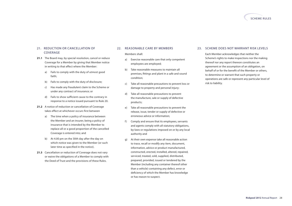

# 21. Reduction or Cancellation of **COVERAGE**

- **21.1** The Board may, by special resolution, cancel or reduce Coverage for a Member by giving that Member notice in writing to that effect where the Member:
	- a) Fails to comply with the duty of utmost good faith;
	- b) Fails to comply with the duty of disclosure;
	- c) Has made any fraudulent claim to the Scheme or under any contract of insurance; or
	- d) Fails to show sufficient cause to the contrary in response to a notice issued pursuant to Rule 20.
- **21.2** A notice of reduction or cancellation of Coverage takes effect at whichever occurs first between
	- a) The time when a policy of insurance between the Member and an insurer, being a policy of insurance that is intended by the Member to replace all or a good proportion of the cancelled Coverage is entered into; and
	- b) At 4.00 pm on the 30th day after the day on which notice was given to the Member (or such later time as specified in the notice).
- **21.3** Cancellation or reduction of Coverage does not vary or waive the obligations of a Member to comply with the Deed of Trust and the provisions of these Rules.

#### 22. REASONABLE CARE BY MEMBERS

Members shall:

- a) Exercise reasonable care that only competent employees are employed;
- b) Take reasonable measures to maintain all premises, fittings and plant in a safe and sound condition;
- c) Take all reasonable precautions to prevent loss or damage to property and personal injury;
- d) Take all reasonable precautions to prevent the manufacture, sale or supply of defective products;
- e) Take all reasonable precautions to prevent the release, issue, tender or supply of defective or erroneous advice or information;
- f) Comply and ensure that its employees, servants and agents comply with all statutory obligations, by-laws or regulations imposed on or by any local authority and
- g) At their own expense take all reasonable action to trace, recall or modify any item, document, information, advice or product manufactured, constructed, erected, installed, altered, repaired, serviced, treated, sold, supplied, distributed, prepared, provided, issued or tendered by the Member (including any container thereof other than a vehicle) containing any defect, error or deficiency of which the Member has knowledge or has reason to suspect.

### 23. Scheme Does Not Warrant Risk Levels

Each Member acknowledges that neither the Scheme's rights to make inspections nor the making thereof nor any report thereon constitutes an agreement or the assumption of an obligation, on behalf of or for the benefit of the Member or others, to determine or warrant that such property or operations are safe or represent any particular level of risk to liability.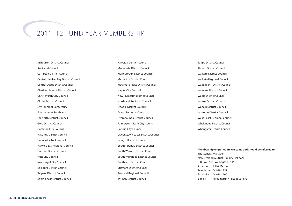# 2011–12 Fund Year Membership

Ashburton District Council Auckland Council Carterton District Council Central Hawke's Bay District Council Central Otago District Council Chatham Islands District Council Christchurch City Council Clutha District Council Environment Canterbury Environment Southland Far North District Council Gore District Council Hamilton City Council Hastings District Council Hauraki District Council Hawke's Bay Regional Council Hurunui District Council Hutt City Council Invercargill City Council Kaikoura District Council Kaipara District Council Kapiti Coast District Council

Kawerau District Council Mackenzie District Council Marlborough District Council Masterton District Council Matamata-Piako District Council Napier City Council New Plymouth District Council Northland Regional Council Opotiki District Council Otago Regional Council Otorohaunga District Council Palmerston North City Council Porirua City Council Queenstown Lakes District Council Selwyn District Council South Taranaki District Council South Waikato District Council South Wairarapa District Council Southland District Council Stratford District Council Taranaki Regional Council Tasman District Council

Taupo District Council Timaru District Council Waikato District Council Waikato Regional Council Waimakariri District Council Waimate District Council Waipa District Council Wairoa District Council Waitaki District Council Waitomo District Council West Coast Regional Council Whakatane District Council Whangarei District Council

#### **Membership enquiries are welcome and should be referred to:**

The General Manager New Zealand Mutual Liability Riskpool P O Box 5521, Wellington 6145 Attention: Juliet Martin Telephone: 04 978 1257 Facsimile: 04 978 1260 E-mail: juliet.martin@riskpool.org.nz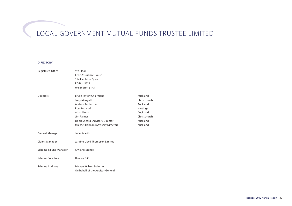# Local Government Mutual Funds Trustee Limited

#### **Directory**

| Registered Office        | 9th Floor                          |              |
|--------------------------|------------------------------------|--------------|
|                          | Civic Assurance House              |              |
|                          | 114 Lambton Quay                   |              |
|                          | PO Box 5521                        |              |
|                          | Wellington 6145                    |              |
| <b>Directors</b>         | Bryan Taylor (Chairman)            | Auckland     |
|                          | <b>Tony Marryatt</b>               | Christchurch |
|                          | <b>Andrew McKenzie</b>             | Auckland     |
|                          | Ross McLeod                        | Hastings     |
|                          | <b>Allan Morris</b>                | Auckland     |
|                          | Jim Palmer                         | Christchurch |
|                          | Denis Sheard (Advisory Director)   | Auckland     |
|                          | Michael Hannan (Advisory Director) | Auckland     |
| General Manager          | Juliet Martin                      |              |
| Claims Manager           | Jardine Lloyd Thompson Limited     |              |
| Scheme & Fund Manager    | Civic Assurance                    |              |
| <b>Scheme Solicitors</b> | Heaney & Co                        |              |
| <b>Scheme Auditors</b>   | Michael Wilkes, Deloitte           |              |
|                          | On behalf of the Auditor-General   |              |
|                          |                                    |              |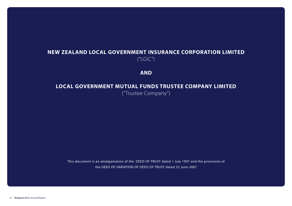# **NEW ZEALAND LOCAL GOVERNMENT INSURANCE CORPORATION LIMITED**  $(''LGIC'')$

**AND**

# **LOCAL GOVERNMENT MUTUAL FUNDS TRUSTEE COMPANY LIMITED**

("Trustee Company")

This document is an amalgamation of the DEED OF TRUST dated 1 July 1997 and the provisions of the DEED OF VARIATION OF DEED OF TRUST dated 22 June 2007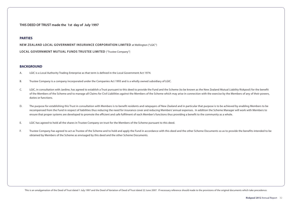**THIS DEED OF TRUST made the 1st day of July 1997**

# **PARTIES**

**NEW ZEALAND LOCAL GOVERNMENT INSURANCE CORPORATION LIMITED** at Wellington ("LGIC")

**LOCAL GOVERNMENT MUTUAL FUNDS TRUSTEE LIMITED** ("Trustee Company")

### **BACKGROUND**

- A. LGIC is a Local Authority Trading Enterprise as that term is defined in the Local Government Act 1974.
- B. Trustee Company is a company incorporated under the Companies Act 1993 and is a wholly owned subsidiary of LGIC.
- C. LGIC, in consultation with Jardine, has agreed to establish a Trust pursuant to this deed to provide the Fund and the Scheme (to be known as the New Zealand Mutual Liability Riskpool) for the benefit of the Members of the Scheme and to manage all Claims for Civil Liabilities against the Members of the Scheme which may arise in connection with the exercise by the Members of any of their powers, duties or functions.
- D. The purpose for establishing this Trust in consultation with Members is to benefit residents and ratepayers of New Zealand and in particular that purpose is to be achieved by enabling Members to be recompensed from the Fund in respect of liabilities thus reducing the need for insurance cover and reducing Members' annual expenses. In addition the Scheme Manager will work with Members to ensure that proper systems are developed to promote the efficient and safe fulfilment of each Member's functions thus providing a benefit to the community as a whole.
- E. LGIC has agreed to hold all the shares in Trustee Company on trust for the Members of the Scheme pursuant to this deed.
- F. Trustee Company has agreed to act as Trustee of the Scheme and to hold and apply the Fund in accordance with this deed and the other Scheme Documents so as to provide the benefits intended to be obtained by Members of the Scheme as envisaged by this deed and the other Scheme Documents.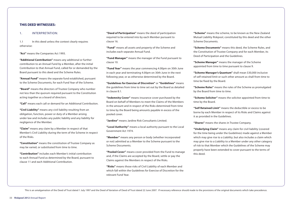# **THIS DEED WITNESSES:**

### 1. Interpretation:

1.1 In this deed unless the context clearly requires otherwise:

**"Act"** means the Companies Act 1993.

**"Additional Contribution"** means any additional or further contribution to an Annual Fund by a Member, after the initial Contribution to that Annual Fund, called for or demanded by the Board pursuant to this deed and the Scheme Rules.

**"Annual Fund"** means the separate fund established, pursuant to the Scheme Documents, for each Fund Year of the Scheme.

**"Board"** means the directors of Trustee Company who number not less than the quorum required pursuant to the Constitution acting together as a board of directors.

**"Call"** means each call or demand for an Additional Contribution.

**"Civil Liability"** means any civil liability resulting from an obligation, function, power or duty of a Member arising under law and includes any public liability and any liability for negligence of the Member.

**"Claim"** means any claim by a Member in respect of that Member's Civil Liability during the term of the Scheme in respect of the Risks.

**"Constitution"** means the constitution of Trustee Company as may be varied, or substituted from time to time.

**"Contribution"** includes each Member's initial contribution to each Annual Fund as determined by the Board, pursuant to clause 11 and each Additional Contribution.

**"Deed of Participation"** means the deed of participation required to be entered into by each Member pursuant to clause 16.

**"Fund"** means all assets and property of the Scheme and includes each separate Annual Fund.

**"Fund Manager"** means the manager of the Fund pursuant to clause 10.

**"Fund Year"** means the year commencing 4.00pm on 30th June in each year and terminating 4.00pm on 30th June in the next following year, or as otherwise determined by the Board.

**"Guidelines for Exercise of Discretion"** or **"Guidelines"** means the guidelines from time to time set out by the Board as detailed in clause 8.1.

**"Indemnity Cover"** means insurance cover purchased by the Board on behalf of Members to meet the Claims of the Members in the amount and in respect of the Risks determined from time to time by the Board being amounts payable in excess of the pooled cover.

**"Jardine"** means Jardine Risk Consultants Limited.

**"Local Authority"** means a local authority pursuant to the Local Government Act 1974.

**"Member"** means any person or body (whether incorporated or not) admitted as a Member to the Scheme pursuant to the Scheme Documents.

**"Pooled Cover"** means cover provided from the Fund to manage and, if the Claims are accepted by the Board, settle or pay the Claims against the Members in respect of the Risks.

**"Risks"** means those risks of Civil Liability of each Member and which fall within the Guidelines for Exercise of Discretion for the relevant Fund Year.

**"Scheme"** means the scheme, to be known as the New Zealand Mutual Liability Riskpool, constituted by this deed and the other Scheme Documents.

**"Scheme Documents"** means this deed, the Scheme Rules, and the Constitution of Trustee Company and for each Member, its Deed of Participation and the Guidelines.

**"Scheme Manager"** means the manager of the Scheme appointed from time to time pursuant to clause 9.

**"Scheme Manager's Quantum"** shall mean \$30,000 inclusive of self retained limit or such other amount as shall from time to time be fixed by the Board.

**"Scheme Rules"** means the rules of the Scheme as promulgated by the Board from time to time.

**"Scheme Solicitor"** means the solicitor appointed from time to time by the Board.

**"Self Retained Limit"** means the deductible or excess to be borne by each Member in respect of its Risks and Claims against it as provided in the Guidelines.

**"Shares"** means the shares in Trustee Company.

**"Underlying Claim"** means any claim for civil liability (covered for the time being under the Guidelines) made against a Member which may give rise to a Liability; but also includes a claim which may give rise to a Liability to a Member under any other category of risk to that Member which the Guidelines of the Scheme may properly have been extended to cover pursuant to the terms of this deed.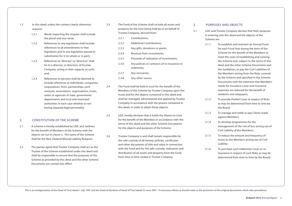- 1.2 In this deed, unless the context clearly otherwise requires:
	- 1.2.1 Words importing the singular shall include the plural and vice versa;
	- 1.2.2 References to any legislation shall include references to all amendments to that legislation and to any legislation passed in substitution for it (in whole or in part);
	- 1.2.3 References to "director" or "directors" shall be to a director, or directors, of Trustee Company, acting in their capacity as such; and;
	- 1.2.4 References to persons shall be deemed to include references to individuals, companies, corporations, firms, partnerships, joint ventures, associations, organisations, trusts, states or agencies of state, government departments and local and municipal authorities in each case whether or not having separate legal personality.

# 2. Constitution of the Scheme

- 2.1 A scheme is hereby established by LGIC and Jardines for the benefit of Members of the Scheme with the objects set out in clause 3. The name of the Scheme shall be the New Zealand Mutual Liability Riskpool.
- 2.2 The parties agree that Trustee Company shall act as the Trustee of the Scheme established under this deed and shall be responsible to ensure that the purposes of the Scheme as provided by this deed and the other Scheme Documents are carried into effect.
- 2.3 The Fund of the Scheme shall include all assets and property for the time being held by or on behalf of Trustee Company, derived from:
	- 2.3.1 Contributions;
	- 2.3.2 Additional Contributions:
	- 2.3.3 Any gifts, donations or grants
	- 2.3.4 Revenue from investments;
	- 2.3.5 Proceeds of realisation of investments;
	- 2.3.6 Any policies or contracts of re-insurance or indemnity;
	- 2.3.7 Any recoveries;
	- 2.3.8 Any other source.
- 2.4 The Fund shall be held in trust for the benefit of the Members of the Scheme by Trustee Company upon the trusts and for the objects contained in this deed and shall be managed, administered and applied by Trustee Company in accordance with the powers contained in this deed, in order to attain those objects.
- 2.5 LGIC hereby declares that it holds the Shares on trust for the benefit of the Members in accordance with the terms of this deed and the other Scheme Documents for the objects and purposes of the Scheme.
- 2.6 Trustee Company is and shall remain responsible for the safe custody of all money, policies, certificates and other documents of title and value in connection with the Fund and for the safe custody, realisation and distribution of all assets and property from the Fund, from time to time vested in Trustee Company.

# 3. Purposes and Objects

- 3.1 LGIC and Trustee Company declare that their purposes in entering into this deed and the objects of the Scheme are:
	- 3.1.1 To establish and maintain an Annual Fund for each Fund Year during the term of the Scheme for the benefit of the Members to meet the costs of establishing and running the Scheme and, subject to the terms of this deed and the other Scheme Documents and the Guidelines, to pay the Civil Liabilities of the Members arising from the Risks covered by the Scheme and specified in the Scheme Documents with the intention that Members' needs for insurance cover and insurance expenses are reduced for the benefit of residents and ratepayers;
	- 3.1.2 To provide Pooled Cover in respect of Risks as may be determined from time to time by the Board;
	- 3.1.3 To manage and settle or pay Claims made against Members;
	- 3.1.4 To develop programmes for the management of the risk of loss arising out of Civil Liability of the Members;
	- 3.1.5 To reduce the amount and frequency of losses to the Members arising out of Civil Liability;
	- 3.1.6 To purchase such Indemnity Cover or reinsurance in respect of such Risks as may be determined from time to time by the Board;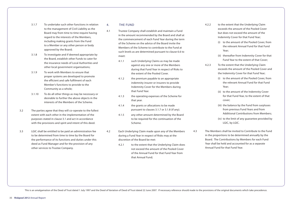- 3.1.7 To undertake such other functions in relation to the management of Civil Liability as the Board may from time to time require having regard to the interests of the Members, including making grants from the Fund to a Member or any other person or body approved by the Board;
- 3.1.8 To investigate and if deemed appropriate by the Board, establish other Funds to cater for the insurance needs of Local Authorities and other local government organisations;
- 3.1.9 To work with Members to ensure that proper systems are developed to promote the efficient and safe fulfilment of each Member's functions to provide to the Community as a whole;
- 3.1.10 To do all other things as may be necessary or desirable to further the above objects in the interests of the Members of the Scheme.
- 3.2 The parties agree that they will co-operate to the fullest extent with each other in the implementation of the purposes stated in clause 3.1 and act in accordance with the provisions and spirit and intent of this deed.
- 3.3 LGIC shall be entitled to be paid an administration fee to be determined from time to time by the Board for the performance of its functions and duties under this deed as Fund Manager and for the provision of any other services to Trustee Company.

4. The Fund

- 4.1 Trustee Company shall establish and maintain a Fund in the amount recommended by the Board and shall at the commencement of each Fund Year during the term of the Scheme on the advice of the Board invite the Members of the Scheme to contribute to the Fund at such levels as are determined pursuant to clause 6.6 to meet:
	- 4.1.1 such Underlying Claims as may be made against any one or more of the Members during that Fund Year in respect of Risks to the extent of the Pooled Cover.
	- 4.1.2 the premium payable to an appropriate indemnity insurer or insurers to provide Indemnity Cover for the Members during that Fund Year.
	- 4.1.3 the operating expenses of the Scheme for that year.
	- 4.1.4 the grants or allocations to be made pursuant to clauses 3.1.7 or 3.1.8 (if any).
	- 4.1.5 any other amount determined by the Board to be required for the continuation of the Scheme.
- 4.2 Each Underlying Claim made upon any of the Members during a Fund Year in respect of Risks may at the discretion of the Board be met:
	- 4.2.1 to the extent that the Underlying Claim does not exceed the amount of the Pooled Cover of the Annual Fund for that Fund Year from that Annual Fund;
- 4.2.2 to the extent that the Underlying Claim exceeds the amount of the Pooled Cover but does not exceed the amount of the Indemnity Cover for that Fund Year;
	- (i) to the amount of the Pooled Cover, from the relevant Annual Fund for that Fund Year;
	- (ii) thereafter from Indemnity Cover for that Fund Year to the extent of that Cover;
- 4.2.3 To the extent that the Underlying Claim exceeds the amount of the Pooled Cover and the Indemnity Cover for that Fund Year;
	- (i) to the amount of the Pooled Cover, from the relevant Annual Fund for that Fund Year;
	- (ii) to the amount of the Indemnity Cover for that Fund Year, to the extent of that cover;
	- (iii) the balance by the Fund from surpluses from previous Fund Years and from Additional Contributions from Members;
	- (iv) to the limit of any guarantee provided by LGIC, by LGIC.
- 
- 4.3 The Members shall be invited to Contribute to the Fund in the proportions to be determined annually by the Board. The Contributions by Members for each Fund Year shall be held and accounted for as a separate Annual Fund for that Fund Year.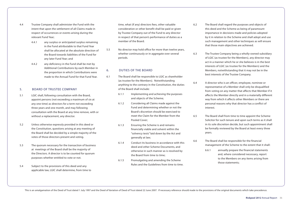- 4.4 Trustee Company shall administer the Fund with the intent that upon the settlement of all Claims made in respect of occurrences or events arising during the relevant Fund Year;
	- 4.4.1 any surplus or anticipated surplus remaining in the Fund attributable to that Fund Year shall be allocated at the absolute direction of the Board towards liabilities of the Fund for any later Fund Year; and
	- 4.4.2 any deficiency in the Fund shall be met by Additional Contributions by each Member in the proportion in which Contributions were made to the Annual Fund for that Fund Year.

# 5. Board of Trustee Company

- 5.1 LGIC shall, following consultation with the Board, appoint persons (not exceeding a maximum of six at any one time) as directors for a term not exceeding three years and one month, and may following consultation with the Board at any time remove, with or without a replacement, any director.
- 5.2 Unless otherwise expressly provided in this deed or the Constitution, questions arising at any meeting of the Board shall be decided by a simple majority of the votes of those directors present and voting.
- 5.3 The quorum necessary for the transaction of business at meetings of the Board shall be the majority of the Directors. A director is to be counted for quorum purposes whether entitled to vote or not.
- 5.4 Subject to the provisions of this deed and any applicable law, LGIC shall determine, from time to

time, what (if any) directors fees, other valuable consideration or other benefit shall be paid or given by Trustee Company out of the Fund to any director in respect of that person's performance of duties as a member of the Board.

5.5 No director may hold office for more than twelve years, whether continuously or in aggregate over several periods.

# 6. Duties of the Board

- 6.1 The Board shall be responsible to LGIC as shareholder (as trustee for the Members). Notwithstanding anything to the contrary in the Constitution, the duties of the Board shall include:
	- 6.1.1 Implementing and achieving the purposes and objects of the Scheme;
	- 6.1.2 Considering all Claims made against the Fund and determining whether or not the Board's discretion should be exercised to meet the Claim for the Member from the Pooled Cover;
	- 6.1.3 Ensuring the Scheme is and remains financially viable and solvent within the "solvency tests" laid down by the Act and generally at law;
	- 6.1.4 Conduct its business in accordance with this deed and other Scheme Documents, and otherwise in such manner as is resolved by the Board from time to time;
	- 6.1.5 Promulgating and amending the Scheme Rules and the Guidelines from time to time.

This is an amalgamation of the Deed of Trust dated 1 July 1997 and the Deed of Variation of Deed of Trust dated 22 June 2007. If necessary reference should made to the provisions of the original documents which take preced

- 6.2 The Board shall regard the purposes and objects of this deed and the Scheme as being of paramount importance in decisions made and policies adopted by it in relation to the Scheme and shall adopt and use such management and other techniques as will ensure that those main objectives are achieved.
- 6.3 The Trustee Company being a wholly-owned subsidiary of LGIC (as trustee for the Members), any director may act in a manner which he or she believes is in the best interests of LGIC (as trustee for the Members) and the Members, notwithstanding that it may not be in the best interests of the Trustee Company.
- 6.4 A director who is an officer, employee, nominee or representative of a Member shall only be disqualified from voting on any matter that affects that Member if it affects the Member directly and in a materially different way from which it affects other Members or there are personal reasons why that director has a conflict of interest.
- 6.5 The Board shall from time to time appoint the Scheme Solicitor for such tenure and upon such terms as it shall in its sole discretion decide, but such appointment shall be formally reviewed by the Board at least every three years.
- 6.6 The Board shall be responsible for the financial management of the Scheme to the extent that it shall:
	- 6.6.1 annually prepare the financial statements and, where considered necessary, report to the Members on any items arising from those statements;

**Riskpool 2012** Annual Report 36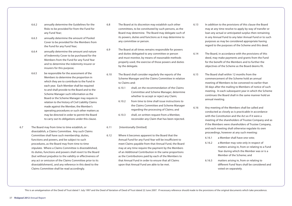- 6.6.2 annually determine the Guidelines for the Risks to be provided for from the Fund for any Fund Year;
- 6.6.3 annually determine the amount of Pooled Cover to be provided for the Members from the Fund for any Fund Year;
- 6.6.4 annually determine the amount and nature of Indemnity Cover to be purchased for the Members from the Fund for any Fund Year and to determine the indemnity insurer or insurers for this purpose;
- 6.6.5 be responsible for the assessment of the Members to determine the proportion in which they are to contribute to the Fund in each year. Each Member shall be required to and shall provide to the Board and to the Scheme Manager such information as the Board or the Scheme Manager may require in relation to the history of Civil Liability Claims made against the Member, the Member's operating procedures or such other matters as may be directed in order to permit the Board to carry out its obligations under this clause.
- 6.7 The Board may from time to time establish, or disestablish, a Claims Committee. Any such Claims Committee shall have such membership, duties, functions and powers, and be subject to such procedures, as the Board may from time to time stipulate. Where a Claims Committee is disestablished, its duties, functions and powers shall revert to the Board (but without prejudice to the validity or effectiveness of any act or omission of the Claims Committee prior to its disestablishment), and any reference in this deed to the Claims Committee shall be read accordingly.
- 6.8 The Board at its discretion may establish such other committees, to be constituted by such persons, as the Board may determine. The Board may delegate such of its powers, duties and functions as it may determine to any committee or person.
- 6.9 The Board at all times remains responsible for powers and duties delegated to any committee or person and must monitor, by means of reasonable methods properly used, the exercise of those powers and duties by the delegate.
- 6.10 The Board shall consider regularly the reports of the Scheme Manager and the Claims Committee in relation to Claims and:
	- 6.10.1 shall, on the recommendation of the Claims Committee and Scheme Manager, determine whether to accept or reject any Claim;
	- 6.10.2 from time to time shall issue instructions to the Claims Committee and Scheme Manager regarding the processing of Claims; and
	- 6.10.3 shall, on written request from a Member, reconsider any Claim that has been rejected.

### 6.11 [Intentionally Omitted]

6.12 Where it becomes apparent to the Board that the Annual Fund for any Fund Year will be insufficient to meet Claims payable from that Annual Fund, the Board may at any time require the payment by the Members of an Additional Contribution in the same proportions as the Contributions paid by each of the Members to that Annual Fund in order to ensure that all Claims upon that Annual Fund are able to be met.

- 6.13 In addition to the provisions of this clause the Board may at any time resolve to apply by way of transfer or loan any actual or anticipated surplus then remaining in any Annual Fund to any later Annual Fund or to such purposes as may be considered appropriate having regard to the purposes of the Scheme and this deed.
- 6.14 The Board, in accordance with the provisions of this deed, may make payments and grants from the Fund for the benefit of the Members and to further the objectives of the Scheme as the Board deems fit.
- 6.15 The Board shall within 12 months from the commencement of the Scheme hold an annual meeting of Members to be convened no earlier than 30 days after the mailing to Members of notice of such meeting. In each subsequent year in which the Scheme continues the Board shall in the same manner hold an annual meeting.
- 6.16 Any meeting of the Members shall be called and conducted as closely as is practicable in accordance with the Constitution and the Act as if it were a meeting of the shareholders of Trustee Company and as if the Members were shareholders of Trustee Company, and each meeting shall otherwise regulate its own proceedings, however at any such meeting:
	- 6.16.1 a Member shall have one vote;
	- 6.16.2 a Member may vote only in respect of matters arising in, from or relating to a Fund Year during which the Member was or is a Member of the Scheme; and
	- 6.16.3 matters arising in, from or relating to different Fund Years shall be considered and voted on separately.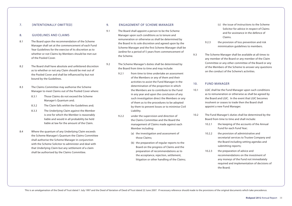#### 7. [Intentionally Omitted]

#### 8. Guidelines and Claims

- 8.1 The Board upon the recommendation of the Scheme Manager shall set at the commencement of each Fund Year Guidelines for the exercise of its discretion as to whether or not Claims by Members should be met out of the Pooled Cover.
- 8.2 The Board shall have absolute and unfettered discretion as to whether or not any Claim should be met out of the Pooled Cover and shall be influenced by but not bound by the Guidelines.
- 8.3 The Claims Committee may authorise the Scheme Manager to meet Claims out of the Pooled Cover where:
	- 8.3.1 Those Claims do not exceed the Scheme Manager's Quantum and;
	- 8.3.2 The Claim falls within the Guidelines and;
	- 8.3.3 The Underlying Claim against the Member is one for which the Member is reasonably liable and would in all probability be held liable at law for the amount of the Claim.
- 8.4 Where the quantum of any Underlying Claim exceeds the Scheme Manager's Quantum the Claims Committee shall authorise the Scheme Manager in conjunction with the Scheme Solicitor to administer and deal with that Underlying Claim but any settlement of a claim shall be authorised by the Claims Committee.

#### 9. Engagement of Scheme Manager

- 9.1 The Board shall appoint a person to be the Scheme Manager upon such conditions as to tenure and remuneration or otherwise as shall be determined by the Board in its sole discretion and agreed upon by the Scheme Manager and the first Scheme Manager shall be Jardine for a period of 5 years from commencement of the Scheme.
- 9.2 The Scheme Manager's duties shall be determined by the Board from time to time and may include:
	- 9.2.1 from time to time undertake an assessment of the Members or any of them and their activities to assist the Fund Manager in the determination of the proportion in which the Members are to contribute to the Fund in any year and upon the conclusion of any such investigation direct the Members or any of them as to the procedures to be adopted by them to prevent losses or to minimise Civil Liability.
	- 9.2.2 under the supervision and direction of the Claims Committee and the Board the management of Claims made against each Member including:
		- (a) the investigation and assessment of those Claims;
		- (b) the preparation of regular reports to the Board on the progress of Claims and the preparation of recommendations as to the acceptance, rejection, settlement, litigation or other handling of the Claims;
- (c) the issue of instructions to the Scheme Solicitor for advice in respect of Claims and for assistance in the defence of Claims.
- 9.2.3 the provision of loss prevention and risk minimisation guidelines to members.
- 9.3 The Scheme Manager shall be available at all times to any member of the Board or any member of the Claim Committee or any other committee of the Board or any of the Members of the Scheme to answer any questions on the conduct of the Scheme's activities.

#### 10. Fund Manager

- 10.1 LGIC shall be the Fund Manager upon such conditions as to remuneration or otherwise as shall be agreed by the Board and LGIC. In the event that LGIC becomes insolvent or ceases to trade then the Board shall appoint a new Fund Manager.
- 10.2 The Fund Manager's duties shall be determined by the Board from time to time and shall include:
	- 10.2.1 the keeping of the accounts of the Annual Fund for each Fund Year;
	- 10.2.2 the provision of administrative and secretarial services to Trustee Company and the Board including setting agendas and submitting reports;
	- 10.2.3 the preparation of advice and recommendations on the investment of any moneys of the Fund not immediately required and implementation of decisions of the Board;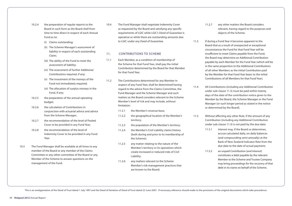- 10.2.4 the preparation of regular reports to the Board in such form as the Board shall from time to time direct in respect of each Annual Fund as to:
	- (i) Claims outstanding;
	- (ii) The Scheme Manager's assessment of liability in respect of each outstanding Claim;
	- (iii) The ability of the Fund to meet the assessment of liability;
	- (iv) The assessment of further Additional Contributions required, if any;
	- (v) The investment of the moneys of the Fund not immediately required;
	- (vi) The allocation of surplus moneys in the Fund, if any;
- 10.2.5 the preparation of the annual operating budget;
- 10.2.6 the calculation of Contributions in conjunction with actuarial advice and advice from the Scheme Manager;
- 10.2.7 the recommendation of the level of Pooled Cover to be provided in any Fund Year;
- 10.2.8 the recommendation of the level of Indemnity Cover to be provided in any Fund Year.
- 10.3 The Fund Manager shall be available at all times to any member of the Board or any member of the Claims Committee or any other committee of the Board or any Member of the Scheme to answer questions on the management of the Fund.

10.4 The Fund Manager shall negotiate Indemnity Cover as requested by the Board and satisfying any specific requirements of LGIC while LGIC's Deed of Guarantee is operative or while there are outstanding amounts due to LGIC under any Deed of Guarantee.

### 11. **CONTRIBUTIONS TO SCHEME**

- 11.1 Each Member, as a condition of membership of the Scheme for that Fund Year, shall pay the initial Contribution determined by the Board for that Member for that Fund Year.
- 11.2 The Contributions determined for any Member in respect of any Fund Year, shall be determined having regard to the advice from the Claims Committee, the Fund Manager and the Scheme Manager and such matters as the Board considers relevant to the Scheme Member's level of risk and may include, without limitation:
	- 11.2.1 the Member's revenue base;
	- 11.2.2 the geographical location of the Member's territory;
	- 11.2.3 the population of the Member's territory;
	- 11.2.4 the Member's Civil Liability claims history (both during and prior to its membership of the Scheme);
	- 11.2.5 any matter relating to the nature of the Member's territory or its operations which create increased or reduced risks of Civil Liability;
	- 11.2.6 any matters relevant to the Scheme Member's risk management practices that are known to the Board;
- 11.2.7 any other matters the Board considers relevant, having regard to the purposes and objects of the Scheme.
- 11.3 If during a Fund Year it becomes apparent to the Board that as a result of unexpected or exceptional circumstances the Fund for that Fund Year will be insufficient to meet Claims payable from the Fund, the Board may determine an Additional Contribution payable by each Member for the Fund Year (which will be in the same proportion to the Additional Contributions of all other Members as the initial Contribution paid by the Member for that Fund Year bears to the initial Contributions of all Members for that Fund Year).
- 11.4 All Contributions (including any Additional Contribution under sub-clause 11.3) must be paid within twenty days of the date of the contribution notice given to the Member by the Board, the Scheme Manager or the Fund Manager (or such longer period as stated in the notice or determined by the Board).
- 11.5 Without affecting any other Rule, if the amount of any Contribution (including any Additional Contribution under sub-clause 11.3) is not paid by the due date:
	- 11.5.1 interest may, if the Board so determines, accrue calculated daily, on daily balances (and compounding semi-annually) at the Bank of New Zealand Indicator Rate from the due date to the date of actual payment;
	- 11.5.2 an unpaid Contribution (and interest) constitutes a debt payable by the relevant Member to the Scheme and Trustee Company may bring proceedings for the recovery of that debt in its name on behalf of the Scheme.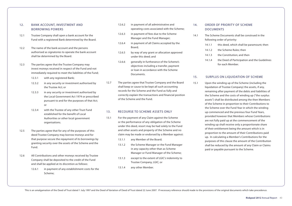# 12. Bank Account, Investment and Borrowing Powers

- 12.1 Trustee Company shall open a bank account for the Fund with a registered Bank determined by the Board.
- 12.2 The name of the bank account and the persons authorised as signatories to operate the bank account shall be determined by the Board.
- 12.3 The parties agree that the Trustee Company may invest moneys received in respect of the Fund and not immediately required to meet the liabilities of the Fund;
	- 12.3.1 with any registered Bank;
	- 12.3.2 in any security or investment authorised by the Trustee Act; or
	- 12.3.3 in any security or investment authorised by the Local Government Act 1974 or prescribed pursuant to and for the purposes of that Act; or
	- 12.3.4 with the Trustee of any other Trust Fund established for the benefit of Local Authorities or other local government organisations.
- 12.5 The parties agree that for any of the purposes of this deed Trustee Company may borrow moneys and for that purpose secure the repayment of its borrowings by granting security over the assets of the Scheme and the Fund.
- 12.6 All Contributions and other moneys received by Trustee Company shall be deposited to the credit of the Fund and shall be applied at its discretion as follows:
	- 12.6.1 in payment of any establishment costs for the Scheme;
- 12.6.2 in payment of all administrative and operating costs associated with the Scheme;
- 12.6.3 in payment of fees due to the Scheme Manager and the Fund Manager;
- 12.6.4 in payment of all Claims accepted by the Board;
- 12.6.5 by way of any grant or allocation approved under this deed; and
- 12.6.6 generally in furtherance of the Scheme's objectives including a transfer, payment or loan in accordance with the Scheme Documents.
- 12.7 The parties agree that Trustee Company and the Board shall keep or cause to be kept all such accounting records for the Scheme and the Fund as fully and correctly explain the transactions and financial position of the Scheme and the Fund.

# 13. Recourse to Scheme Assets Only

- 13.1 For the payment of any Claim against the Scheme or the performance of any obligation of the Scheme under this deed, resort may be had solely to the Fund and other assets and property of the Scheme and no claim may be made or endorsed by a Member against:
	- 13.1.1 any Member of the Board;
	- 13.1.2 the Scheme Manager or the Fund Manager in any capacity other than as Scheme Manager or Fund Manager of the Scheme;
	- 13.1.3 except to the extent of LGIC's indemnity to Trustee Company, LGIC; or
	- 13.1.4 any other Member.

# 14. ORDER OF PRIORITY OF SCHEME **DOCUMENTS**

- 14.1 The Scheme Documents shall be construed in the following order of priority:
	- 14.1.1 this deed, which shall be paramount; then
	- 14.1.2 the Scheme Rules; then
	- 14.1.3 the Constitution; and then
	- 14.1.4 the Deed of Participation and the Guidelines for each Member.

#### 15. SURPLUS ON LIQUIDATION OF SCHEME

15.1 Upon the winding up of the Scheme (including the liquidation of Trustee Company) the assets, if any, remaining after payment of the debts and liabilities of the Scheme and the costs of winding up ("the surplus assets") shall be distributed among the then Members of the Scheme in proportion to their Contributions to the Scheme over the Fund Year in which the winding up commenced and the previous four Fund Years, provided however that Members whose Contributions are not fully paid up at the commencement of the winding up shall receive only a proportionate share of their entitlement being the amount which is in proportion to the amount of their Contributions paid up. In calculating a Member's Contributions for the purposes of this clause the amount of the Contribution shall be reduced by the amount of any Claim or Claims paid or payable pursuant to the Scheme.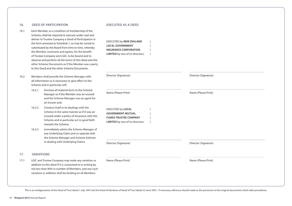#### 16. Deed of Participation

- 16.1 Each Member, as a condition of membership of the Scheme, shall be required to execute under seal and deliver to Trustee Company a Deed of Participation in the form annexed as Schedule 1, as may be varied or substituted by the Board from time to time, whereby the Member covenants and agrees, for the benefit of Trustee Company and LGIC, to be bound and to observe and perform all the terms of this deed and the other Scheme Documents as if the Member was a party to this Deed and the other Scheme Documents.
- 16.2 Members shall provide the Scheme Manager with all information as is necessary to give effect to the Scheme and in particular will:
	- 16.2.1 Disclose all material facts to the Scheme Manager as if the Member was an insured and the Scheme Manager was an agent for an insurer and;
	- 16.2.2 Conduct itself in its dealings with the Scheme in the same manner as if it was an insured under a policy of insurance with the Scheme and in particular act in good faith towards the Scheme.
	- 16.2.3 Immediately advise the Scheme Manager of any Underlying Claim and co-operate with the Scheme Manager and Scheme Solicitor in dealing with Underlying Claims.

### 17. Variations

17.1 LGIC and Trustee Company may make any variation or addition to this deed if it is consented to in writing by not less than 90% in number of Members, and any such variation or addition shall be binding on all Members.

#### EXECUTED as a Deed

EXECUTED by **NEW ZEALAND** ) **LOCAL GOVERNMENT** ) **INSURANCE CORPORATION** 

| Director (Signature) |
|----------------------|
| Name (Please Print)  |
|                      |
|                      |
| Director (Signature) |
| Name (Please Print)  |
|                      |
|                      |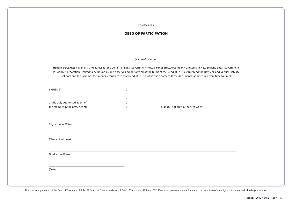SCHEDULE 1

# **DEED OF PARTICIPATION**

#### (Name of Member)

HEREBY DECLARES covenants and agrees for the benefit of Local Government Mutual Funds Trustee Company Limited and New Zealand Local Government Insurance Corporation Limited to be bound by and observe and perform all of the terms of the Deed of Trust establishing the New Zealand Mutual Liability Riskpool and the Scheme Documents referred to in that Deed of Trust as if it was a party to those documents (as amended from time to time).

SIGNED BY (SEP)

| as the duly authorised agent of |                                      |
|---------------------------------|--------------------------------------|
| the Member in the presence of:  | (Signature of duly authorised Agent) |

) and the contract of  $\mathcal{O}$ 

(Signature of Witness)

(Name of Witness)

(Address of Witness)

(Date)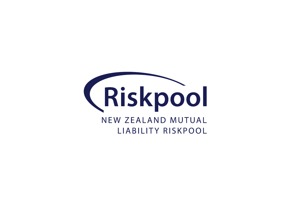